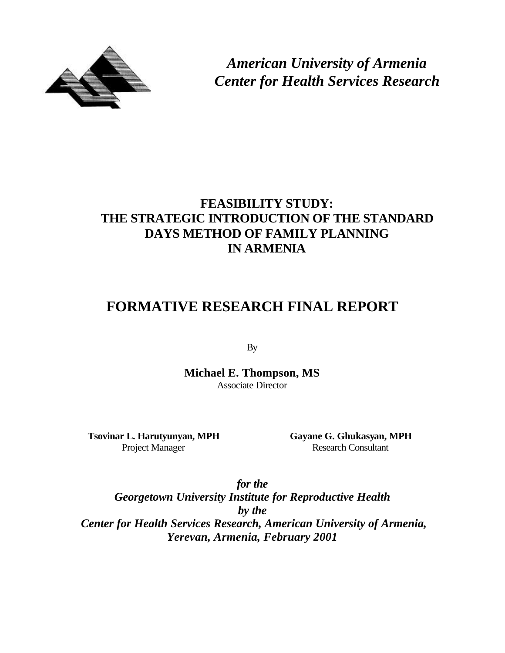

*American University of Armenia Center for Health Services Research*

# **FEASIBILITY STUDY: THE STRATEGIC INTRODUCTION OF THE STANDARD DAYS METHOD OF FAMILY PLANNING IN ARMENIA**

# **FORMATIVE RESEARCH FINAL REPORT**

By

**Michael E. Thompson, MS** Associate Director

**Tsovinar L. Harutyunyan, MPH Gayane G. Ghukasyan, MPH**

Project Manager Research Consultant

*for the Georgetown University Institute for Reproductive Health by the Center for Health Services Research, American University of Armenia, Yerevan, Armenia, February 2001*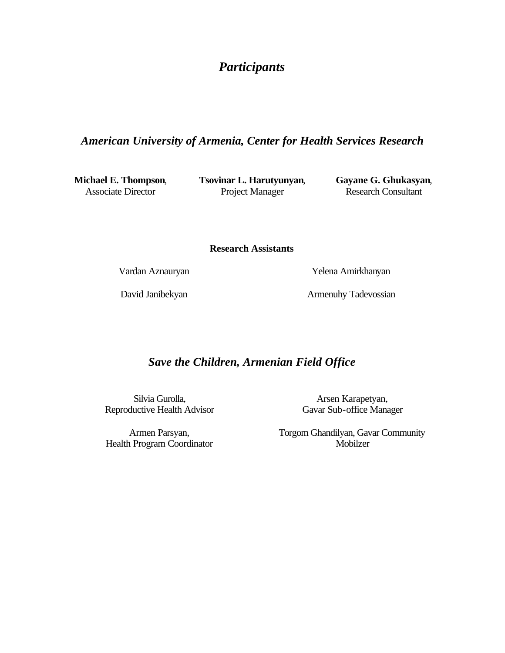# *Participants*

# *American University of Armenia, Center for Health Services Research*

**Michael E. Thompson**, Associate Director

**Tsovinar L. Harutyunyan**, Project Manager

**Gayane G. Ghukasyan**, Research Consultant

**Research Assistants**

Vardan Aznauryan

Yelena Amirkhanyan

David Janibekyan

Armenuhy Tadevossian

# *Save the Children, Armenian Field Office*

Silvia Gurolla, Reproductive Health Advisor

Gavar Sub-office Manager

Armen Parsyan, Health Program Coordinator Torgom Ghandilyan, Gavar Community Mobilzer

Arsen Karapetyan,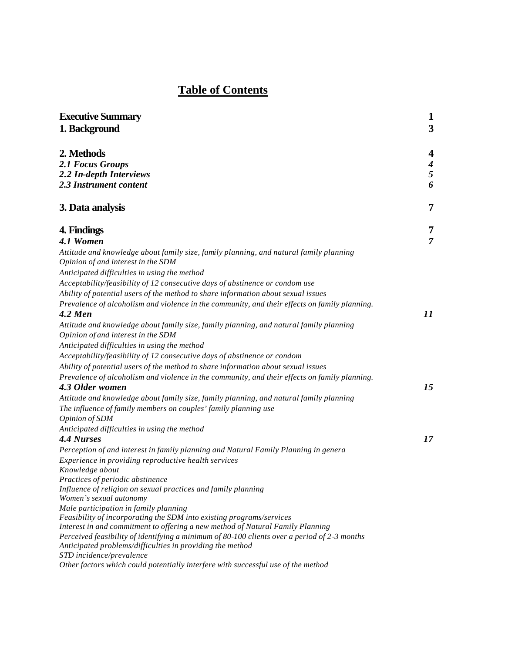# **Table of Contents**

| <b>Executive Summary</b>                                                                                         | 1                       |
|------------------------------------------------------------------------------------------------------------------|-------------------------|
| 1. Background                                                                                                    | 3                       |
|                                                                                                                  |                         |
| 2. Methods                                                                                                       | $\overline{\mathbf{4}}$ |
| 2.1 Focus Groups                                                                                                 | $\boldsymbol{4}$        |
| 2.2 In-depth Interviews                                                                                          | 5                       |
| 2.3 Instrument content                                                                                           | 6                       |
| 3. Data analysis                                                                                                 | 7                       |
| 4. Findings                                                                                                      | 7                       |
| 4.1 Women                                                                                                        | $\overline{7}$          |
| Attitude and knowledge about family size, family planning, and natural family planning                           |                         |
| Opinion of and interest in the SDM                                                                               |                         |
| Anticipated difficulties in using the method                                                                     |                         |
| Acceptability/feasibility of 12 consecutive days of abstinence or condom use                                     |                         |
| Ability of potential users of the method to share information about sexual issues                                |                         |
| Prevalence of alcoholism and violence in the community, and their effects on family planning.                    |                         |
| 4.2 Men                                                                                                          | 11                      |
| Attitude and knowledge about family size, family planning, and natural family planning                           |                         |
| Opinion of and interest in the SDM                                                                               |                         |
| Anticipated difficulties in using the method                                                                     |                         |
| Acceptability/feasibility of 12 consecutive days of abstinence or condom                                         |                         |
|                                                                                                                  |                         |
| Ability of potential users of the method to share information about sexual issues                                |                         |
| Prevalence of alcoholism and violence in the community, and their effects on family planning.<br>4.3 Older women | 15                      |
|                                                                                                                  |                         |
| Attitude and knowledge about family size, family planning, and natural family planning                           |                         |
| The influence of family members on couples' family planning use<br><b>Opinion of SDM</b>                         |                         |
| Anticipated difficulties in using the method                                                                     |                         |
| 4.4 Nurses                                                                                                       | 17                      |
| Perception of and interest in family planning and Natural Family Planning in genera                              |                         |
| Experience in providing reproductive health services                                                             |                         |
| Knowledge about                                                                                                  |                         |
| Practices of periodic abstinence                                                                                 |                         |
| Influence of religion on sexual practices and family planning                                                    |                         |
| Women's sexual autonomy                                                                                          |                         |
| Male participation in family planning                                                                            |                         |
| Feasibility of incorporating the SDM into existing programs/services                                             |                         |
| Interest in and commitment to offering a new method of Natural Family Planning                                   |                         |
| Perceived feasibility of identifying a minimum of 80-100 clients over a period of 2-3 months                     |                         |
| Anticipated problems/difficulties in providing the method                                                        |                         |
| STD incidence/prevalence                                                                                         |                         |
| Other factors which could potentially interfere with successful use of the method                                |                         |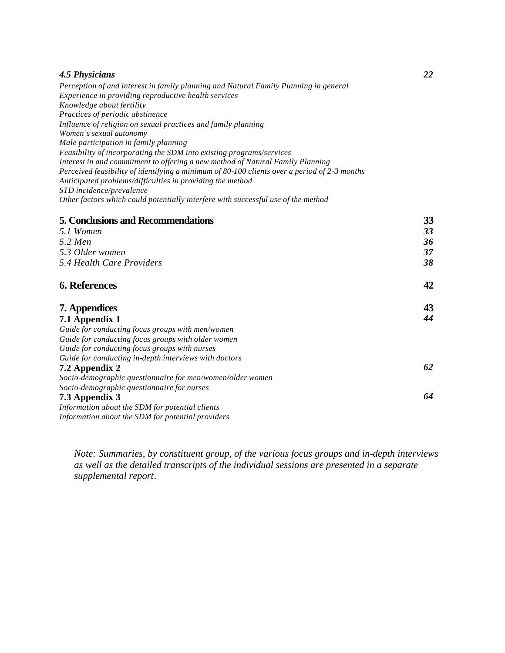#### *4.5 Physicians 22*

*Perception of and interest in family planning and Natural Family Planning in general Experience in providing reproductive health services Knowledge about fertility Practices of periodic abstinence Influence of religion on sexual practices and family planning Women's sexual autonomy Male participation in family planning Feasibility of incorporating the SDM into existing programs/services Interest in and commitment to offering a new method of Natural Family Planning Perceived feasibility of identifying a minimum of 80-100 clients over a period of 2-3 months Anticipated problems/difficulties in providing the method STD incidence/prevalence Other factors which could potentially interfere with successful use of the method* 

| <b>5. Conclusions and Recommendations</b>                 | 33 |
|-----------------------------------------------------------|----|
| 5.1 Women                                                 | 33 |
| 5.2 Men                                                   | 36 |
| 5.3 Older women                                           | 37 |
| 5.4 Health Care Providers                                 | 38 |
| <b>6. References</b>                                      | 42 |
| 7. Appendices                                             | 43 |
| 7.1 Appendix 1                                            | 44 |
| Guide for conducting focus groups with men/women          |    |
| Guide for conducting focus groups with older women        |    |
| Guide for conducting focus groups with nurses             |    |
| Guide for conducting in-depth interviews with doctors     |    |
| 7.2 Appendix 2                                            | 62 |
| Socio-demographic questionnaire for men/women/older women |    |
| Socio-demographic questionnaire for nurses                |    |
| 7.3 Appendix 3                                            | 64 |
| Information about the SDM for potential clients           |    |
| Information about the SDM for potential providers         |    |

*Note: Summaries, by constituent group, of the various focus groups and in-depth interviews as well as the detailed transcripts of the individual sessions are presented in a separate supplemental report.*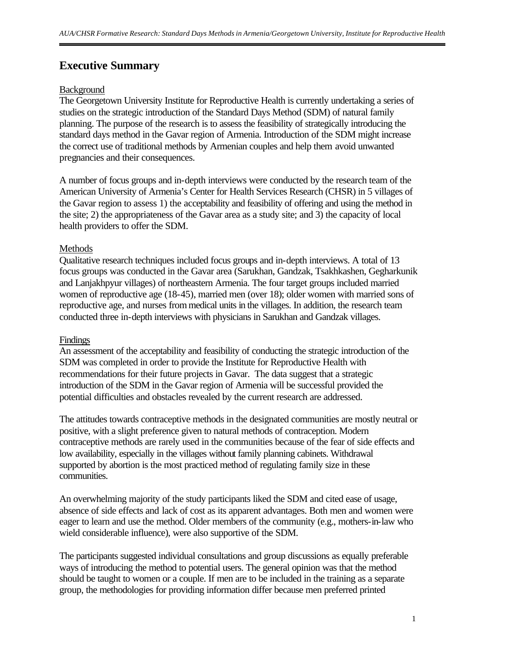# **Executive Summary**

# Background

The Georgetown University Institute for Reproductive Health is currently undertaking a series of studies on the strategic introduction of the Standard Days Method (SDM) of natural family planning. The purpose of the research is to assess the feasibility of strategically introducing the standard days method in the Gavar region of Armenia. Introduction of the SDM might increase the correct use of traditional methods by Armenian couples and help them avoid unwanted pregnancies and their consequences.

A number of focus groups and in-depth interviews were conducted by the research team of the American University of Armenia's Center for Health Services Research (CHSR) in 5 villages of the Gavar region to assess 1) the acceptability and feasibility of offering and using the method in the site; 2) the appropriateness of the Gavar area as a study site; and 3) the capacity of local health providers to offer the SDM.

# Methods

Qualitative research techniques included focus groups and in-depth interviews. A total of 13 focus groups was conducted in the Gavar area (Sarukhan, Gandzak, Tsakhkashen, Gegharkunik and Lanjakhpyur villages) of northeastern Armenia. The four target groups included married women of reproductive age (18-45), married men (over 18); older women with married sons of reproductive age, and nurses from medical units in the villages. In addition, the research team conducted three in-depth interviews with physicians in Sarukhan and Gandzak villages.

# Findings

An assessment of the acceptability and feasibility of conducting the strategic introduction of the SDM was completed in order to provide the Institute for Reproductive Health with recommendations for their future projects in Gavar. The data suggest that a strategic introduction of the SDM in the Gavar region of Armenia will be successful provided the potential difficulties and obstacles revealed by the current research are addressed.

The attitudes towards contraceptive methods in the designated communities are mostly neutral or positive, with a slight preference given to natural methods of contraception. Modern contraceptive methods are rarely used in the communities because of the fear of side effects and low availability, especially in the villages without family planning cabinets. Withdrawal supported by abortion is the most practiced method of regulating family size in these communities.

An overwhelming majority of the study participants liked the SDM and cited ease of usage, absence of side effects and lack of cost as its apparent advantages. Both men and women were eager to learn and use the method. Older members of the community (e.g., mothers-in-law who wield considerable influence), were also supportive of the SDM.

The participants suggested individual consultations and group discussions as equally preferable ways of introducing the method to potential users. The general opinion was that the method should be taught to women or a couple. If men are to be included in the training as a separate group, the methodologies for providing information differ because men preferred printed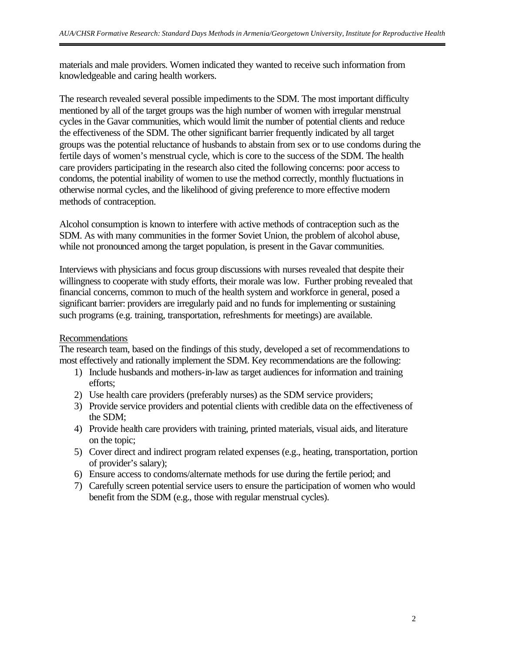materials and male providers. Women indicated they wanted to receive such information from knowledgeable and caring health workers.

The research revealed several possible impediments to the SDM. The most important difficulty mentioned by all of the target groups was the high number of women with irregular menstrual cycles in the Gavar communities, which would limit the number of potential clients and reduce the effectiveness of the SDM. The other significant barrier frequently indicated by all target groups was the potential reluctance of husbands to abstain from sex or to use condoms during the fertile days of women's menstrual cycle, which is core to the success of the SDM. The health care providers participating in the research also cited the following concerns: poor access to condoms, the potential inability of women to use the method correctly, monthly fluctuations in otherwise normal cycles, and the likelihood of giving preference to more effective modern methods of contraception.

Alcohol consumption is known to interfere with active methods of contraception such as the SDM. As with many communities in the former Soviet Union, the problem of alcohol abuse, while not pronounced among the target population, is present in the Gavar communities.

Interviews with physicians and focus group discussions with nurses revealed that despite their willingness to cooperate with study efforts, their morale was low. Further probing revealed that financial concerns, common to much of the health system and workforce in general, posed a significant barrier: providers are irregularly paid and no funds for implementing or sustaining such programs (e.g. training, transportation, refreshments for meetings) are available.

#### Recommendations

The research team, based on the findings of this study, developed a set of recommendations to most effectively and rationally implement the SDM. Key recommendations are the following:

- 1) Include husbands and mothers-in-law as target audiences for information and training efforts;
- 2) Use health care providers (preferably nurses) as the SDM service providers;
- 3) Provide service providers and potential clients with credible data on the effectiveness of the SDM;
- 4) Provide health care providers with training, printed materials, visual aids, and literature on the topic;
- 5) Cover direct and indirect program related expenses (e.g., heating, transportation, portion of provider's salary);
- 6) Ensure access to condoms/alternate methods for use during the fertile period; and
- 7) Carefully screen potential service users to ensure the participation of women who would benefit from the SDM (e.g., those with regular menstrual cycles).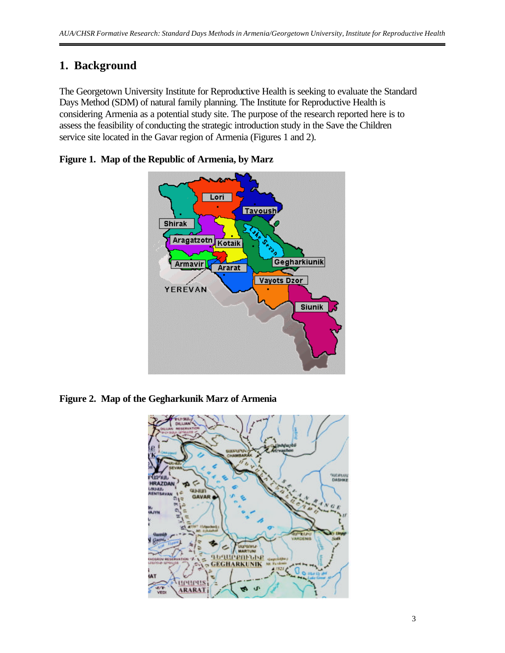# **1. Background**

The Georgetown University Institute for Reproductive Health is seeking to evaluate the Standard Days Method (SDM) of natural family planning. The Institute for Reproductive Health is considering Armenia as a potential study site. The purpose of the research reported here is to assess the feasibility of conducting the strategic introduction study in the Save the Children service site located in the Gavar region of Armenia (Figures 1 and 2).



# **Figure 1. Map of the Republic of Armenia, by Marz**

**Figure 2. Map of the Gegharkunik Marz of Armenia** 

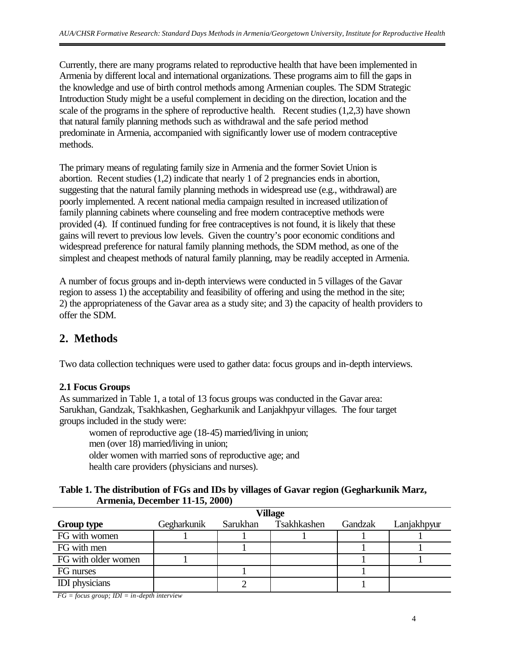Currently, there are many programs related to reproductive health that have been implemented in Armenia by different local and international organizations. These programs aim to fill the gaps in the knowledge and use of birth control methods among Armenian couples. The SDM Strategic Introduction Study might be a useful complement in deciding on the direction, location and the scale of the programs in the sphere of reproductive health. Recent studies (1,2,3) have shown that natural family planning methods such as withdrawal and the safe period method predominate in Armenia, accompanied with significantly lower use of modern contraceptive methods.

The primary means of regulating family size in Armenia and the former Soviet Union is abortion. Recent studies (1,2) indicate that nearly 1 of 2 pregnancies ends in abortion, suggesting that the natural family planning methods in widespread use (e.g., withdrawal) are poorly implemented. A recent national media campaign resulted in increased utilization of family planning cabinets where counseling and free modern contraceptive methods were provided (4). If continued funding for free contraceptives is not found, it is likely that these gains will revert to previous low levels. Given the country's poor economic conditions and widespread preference for natural family planning methods, the SDM method, as one of the simplest and cheapest methods of natural family planning, may be readily accepted in Armenia.

A number of focus groups and in-depth interviews were conducted in 5 villages of the Gavar region to assess 1) the acceptability and feasibility of offering and using the method in the site; 2) the appropriateness of the Gavar area as a study site; and 3) the capacity of health providers to offer the SDM.

# **2. Methods**

Two data collection techniques were used to gather data: focus groups and in-depth interviews.

# **2.1 Focus Groups**

As summarized in Table 1, a total of 13 focus groups was conducted in the Gavar area: Sarukhan, Gandzak, Tsakhkashen, Gegharkunik and Lanjakhpyur villages. The four target groups included in the study were:

women of reproductive age (18-45) married/living in union; men (over 18) married/living in union; older women with married sons of reproductive age; and health care providers (physicians and nurses).

|                                       | Table 1. The distribution of FGs and IDs by villages of Gavar region (Gegharkunik Marz, |
|---------------------------------------|-----------------------------------------------------------------------------------------|
| <b>Armenia, December 11-15, 2000)</b> |                                                                                         |

|                       | <b>Village</b> |          |             |         |             |
|-----------------------|----------------|----------|-------------|---------|-------------|
| <b>Group type</b>     | Gegharkunik    | Sarukhan | Tsakhkashen | Gandzak | Lanjakhpyur |
| FG with women         |                |          |             |         |             |
| FG with men           |                |          |             |         |             |
| FG with older women   |                |          |             |         |             |
| FG nurses             |                |          |             |         |             |
| <b>IDI</b> physicians |                |          |             |         |             |

*FG = focus group; IDI = in-depth interview*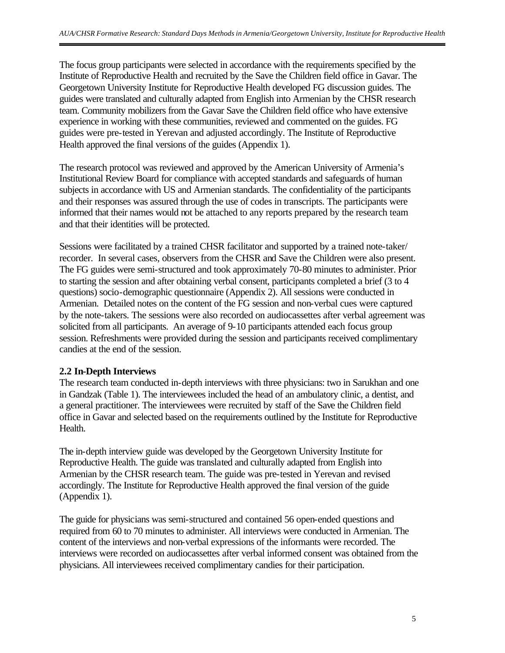The focus group participants were selected in accordance with the requirements specified by the Institute of Reproductive Health and recruited by the Save the Children field office in Gavar. The Georgetown University Institute for Reproductive Health developed FG discussion guides. The guides were translated and culturally adapted from English into Armenian by the CHSR research team. Community mobilizers from the Gavar Save the Children field office who have extensive experience in working with these communities, reviewed and commented on the guides. FG guides were pre-tested in Yerevan and adjusted accordingly. The Institute of Reproductive Health approved the final versions of the guides (Appendix 1).

The research protocol was reviewed and approved by the American University of Armenia's Institutional Review Board for compliance with accepted standards and safeguards of human subjects in accordance with US and Armenian standards. The confidentiality of the participants and their responses was assured through the use of codes in transcripts. The participants were informed that their names would not be attached to any reports prepared by the research team and that their identities will be protected.

Sessions were facilitated by a trained CHSR facilitator and supported by a trained note-taker/ recorder. In several cases, observers from the CHSR and Save the Children were also present. The FG guides were semi-structured and took approximately 70-80 minutes to administer. Prior to starting the session and after obtaining verbal consent, participants completed a brief (3 to 4 questions) socio-demographic questionnaire (Appendix 2). All sessions were conducted in Armenian. Detailed notes on the content of the FG session and non-verbal cues were captured by the note-takers. The sessions were also recorded on audiocassettes after verbal agreement was solicited from all participants. An average of 9-10 participants attended each focus group session. Refreshments were provided during the session and participants received complimentary candies at the end of the session.

# **2.2 In-Depth Interviews**

The research team conducted in-depth interviews with three physicians: two in Sarukhan and one in Gandzak (Table 1). The interviewees included the head of an ambulatory clinic, a dentist, and a general practitioner. The interviewees were recruited by staff of the Save the Children field office in Gavar and selected based on the requirements outlined by the Institute for Reproductive Health.

The in-depth interview guide was developed by the Georgetown University Institute for Reproductive Health. The guide was translated and culturally adapted from English into Armenian by the CHSR research team. The guide was pre-tested in Yerevan and revised accordingly. The Institute for Reproductive Health approved the final version of the guide (Appendix 1).

The guide for physicians was semi-structured and contained 56 open-ended questions and required from 60 to 70 minutes to administer. All interviews were conducted in Armenian. The content of the interviews and non-verbal expressions of the informants were recorded. The interviews were recorded on audiocassettes after verbal informed consent was obtained from the physicians. All interviewees received complimentary candies for their participation.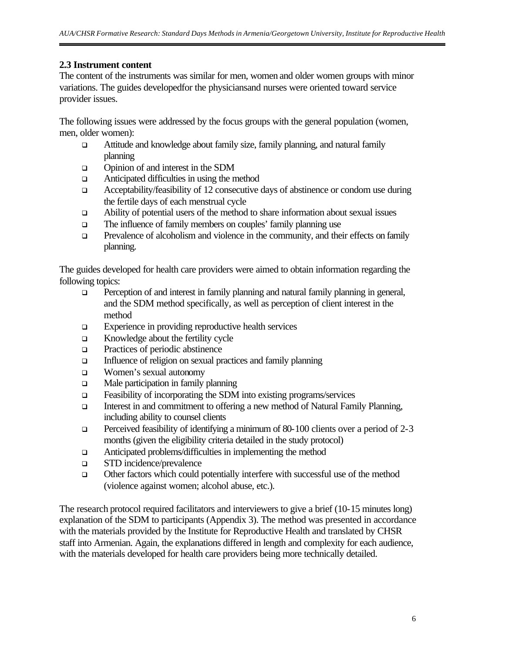# **2.3 Instrument content**

The content of the instruments was similar for men, women and older women groups with minor variations. The guides developedfor the physiciansand nurses were oriented toward service provider issues.

The following issues were addressed by the focus groups with the general population (women, men, older women):

- <sup>q</sup> Attitude and knowledge about family size, family planning, and natural family planning
- **q** Opinion of and interest in the SDM
- $\Box$  Anticipated difficulties in using the method
- <sup>q</sup> Acceptability/feasibility of 12 consecutive days of abstinence or condom use during the fertile days of each menstrual cycle
- $\Box$  Ability of potential users of the method to share information about sexual issues
- $\Box$  The influence of family members on couples' family planning use
- $\Box$  Prevalence of alcoholism and violence in the community, and their effects on family planning.

The guides developed for health care providers were aimed to obtain information regarding the following topics:

- **Q Perception of and interest in family planning and natural family planning in general,** and the SDM method specifically, as well as perception of client interest in the method
- $\Box$  Experience in providing reproductive health services
- $\Box$  Knowledge about the fertility cycle
- $\Box$  Practices of periodic abstinence
- <sup>q</sup> Influence of religion on sexual practices and family planning
- <sup>q</sup> Women's sexual autonomy
- **q** Male participation in family planning
- $\Box$  Feasibility of incorporating the SDM into existing programs/services
- <sup>q</sup> Interest in and commitment to offering a new method of Natural Family Planning, including ability to counsel clients
- □ Perceived feasibility of identifying a minimum of 80-100 clients over a period of 2-3 months (given the eligibility criteria detailed in the study protocol)
- $\Box$  Anticipated problems/difficulties in implementing the method
- **q** STD incidence/prevalence
- <sup>q</sup> Other factors which could potentially interfere with successful use of the method (violence against women; alcohol abuse, etc.).

The research protocol required facilitators and interviewers to give a brief (10-15 minutes long) explanation of the SDM to participants (Appendix 3). The method was presented in accordance with the materials provided by the Institute for Reproductive Health and translated by CHSR staff into Armenian. Again, the explanations differed in length and complexity for each audience, with the materials developed for health care providers being more technically detailed.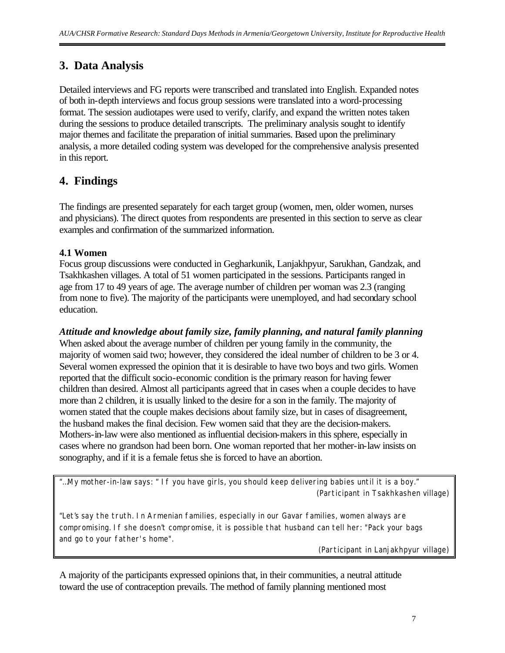# **3. Data Analysis**

Detailed interviews and FG reports were transcribed and translated into English. Expanded notes of both in-depth interviews and focus group sessions were translated into a word-processing format. The session audiotapes were used to verify, clarify, and expand the written notes taken during the sessions to produce detailed transcripts. The preliminary analysis sought to identify major themes and facilitate the preparation of initial summaries. Based upon the preliminary analysis, a more detailed coding system was developed for the comprehensive analysis presented in this report.

# **4. Findings**

The findings are presented separately for each target group (women, men, older women, nurses and physicians). The direct quotes from respondents are presented in this section to serve as clear examples and confirmation of the summarized information.

# **4.1 Women**

Focus group discussions were conducted in Gegharkunik, Lanjakhpyur, Sarukhan, Gandzak, and Tsakhkashen villages. A total of 51 women participated in the sessions. Participants ranged in age from 17 to 49 years of age. The average number of children per woman was 2.3 (ranging from none to five). The majority of the participants were unemployed, and had secondary school education.

# *Attitude and knowledge about family size, family planning, and natural family planning*

When asked about the average number of children per young family in the community, the majority of women said two; however, they considered the ideal number of children to be 3 or 4. Several women expressed the opinion that it is desirable to have two boys and two girls. Women reported that the difficult socio-economic condition is the primary reason for having fewer children than desired. Almost all participants agreed that in cases when a couple decides to have more than 2 children, it is usually linked to the desire for a son in the family. The majority of women stated that the couple makes decisions about family size, but in cases of disagreement, the husband makes the final decision. Few women said that they are the decision-makers. Mothers-in-law were also mentioned as influential decision-makers in this sphere, especially in cases where no grandson had been born. One woman reported that her mother-in-law insists on sonography, and if it is a female fetus she is forced to have an abortion.

"…My mother-in-law says: " If you have girls, you should keep delivering babies until it is a boy." (Participant in Tsakhkashen village)

"Let's say the truth. In Armenian families, especially in our Gavar families, women always are compromising. If she doesn't compromise, it is possible that husband can tell her: "Pack your bags and go to your father's home".

(Participant in Lanjakhpyur village)

A majority of the participants expressed opinions that, in their communities, a neutral attitude toward the use of contraception prevails. The method of family planning mentioned most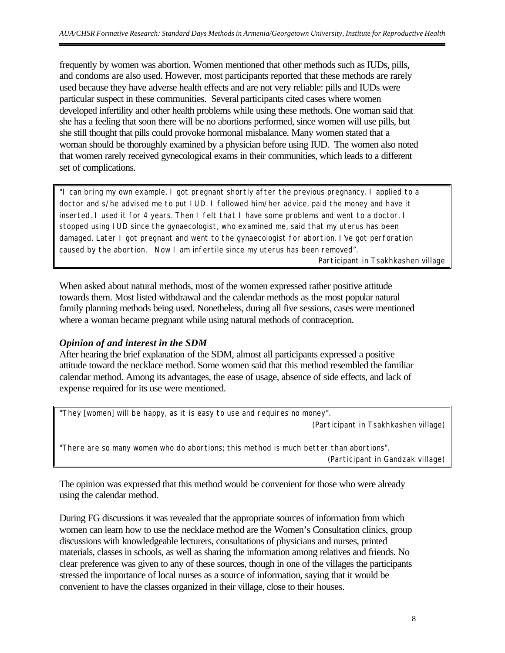frequently by women was abortion. Women mentioned that other methods such as IUDs, pills, and condoms are also used. However, most participants reported that these methods are rarely used because they have adverse health effects and are not very reliable: pills and IUDs were particular suspect in these communities. Several participants cited cases where women developed infertility and other health problems while using these methods. One woman said that she has a feeling that soon there will be no abortions performed, since women will use pills, but she still thought that pills could provoke hormonal misbalance. Many women stated that a woman should be thoroughly examined by a physician before using IUD. The women also noted that women rarely received gynecological exams in their communities, which leads to a different set of complications.

"I can bring my own example. I got pregnant shortly after the previous pregnancy. I applied to a doctor and s/he advised me to put IUD. I followed him/her advice, paid the money and have it inserted. I used it for 4 years. Then I felt that I have some problems and went to a doctor. I stopped using IUD since the gynaecologist, who examined me, said that my uterus has been damaged. Later I got pregnant and went to the gynaecologist for abortion. I've got perforation caused by the abortion. Now I am infertile since my uterus has been removed".

Participant in Tsakhkashen village

When asked about natural methods, most of the women expressed rather positive attitude towards them. Most listed withdrawal and the calendar methods as the most popular natural family planning methods being used. Nonetheless, during all five sessions, cases were mentioned where a woman became pregnant while using natural methods of contraception.

#### *Opinion of and interest in the SDM*

After hearing the brief explanation of the SDM, almost all participants expressed a positive attitude toward the necklace method. Some women said that this method resembled the familiar calendar method. Among its advantages, the ease of usage, absence of side effects, and lack of expense required for its use were mentioned.

"They [women] will be happy, as it is easy to use and requires no money".

(Participant in Tsakhkashen village)

"There are so many women who do abortions; this method is much better than abortions". (Participant in Gandzak village)

The opinion was expressed that this method would be convenient for those who were already using the calendar method.

During FG discussions it was revealed that the appropriate sources of information from which women can learn how to use the necklace method are the Women's Consultation clinics, group discussions with knowledgeable lecturers, consultations of physicians and nurses, printed materials, classes in schools, as well as sharing the information among relatives and friends. No clear preference was given to any of these sources, though in one of the villages the participants stressed the importance of local nurses as a source of information, saying that it would be convenient to have the classes organized in their village, close to their houses.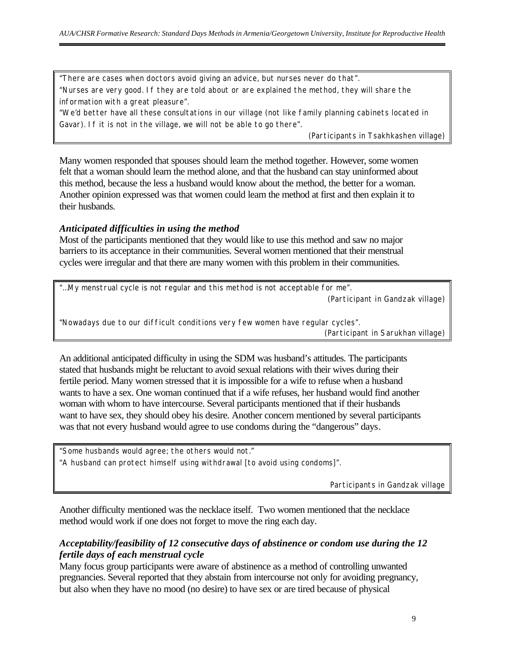"There are cases when doctors avoid giving an advice, but nurses never do that". "Nurses are very good. If they are told about or are explained the method, they will share the information with a great pleasure".

"We'd better have all these consultations in our village (not like family planning cabinets located in Gavar). If it is not in the village, we will not be able to go there".

(Participants in Tsakhkashen village)

Many women responded that spouses should learn the method together. However, some women felt that a woman should learn the method alone, and that the husband can stay uninformed about this method, because the less a husband would know about the method, the better for a woman. Another opinion expressed was that women could learn the method at first and then explain it to their husbands.

#### *Anticipated difficulties in using the method*

Most of the participants mentioned that they would like to use this method and saw no major barriers to its acceptance in their communities. Several women mentioned that their menstrual cycles were irregular and that there are many women with this problem in their communities.

"…My menstrual cycle is not regular and this method is not acceptable for me". (Participant in Gandzak village) "Nowadays due to our difficult conditions very few women have regular cycles". (Participant in Sarukhan village)

An additional anticipated difficulty in using the SDM was husband's attitudes. The participants stated that husbands might be reluctant to avoid sexual relations with their wives during their fertile period. Many women stressed that it is impossible for a wife to refuse when a husband wants to have a sex. One woman continued that if a wife refuses, her husband would find another woman with whom to have intercourse. Several participants mentioned that if their husbands want to have sex, they should obey his desire. Another concern mentioned by several participants was that not every husband would agree to use condoms during the "dangerous" days.

"Some husbands would agree; the others would not." "A husband can protect himself using withdrawal [to avoid using condoms]".

Participants in Gandzak village

Another difficulty mentioned was the necklace itself. Two women mentioned that the necklace method would work if one does not forget to move the ring each day.

## *Acceptability/feasibility of 12 consecutive days of abstinence or condom use during the 12 fertile days of each menstrual cycle*

Many focus group participants were aware of abstinence as a method of controlling unwanted pregnancies. Several reported that they abstain from intercourse not only for avoiding pregnancy, but also when they have no mood (no desire) to have sex or are tired because of physical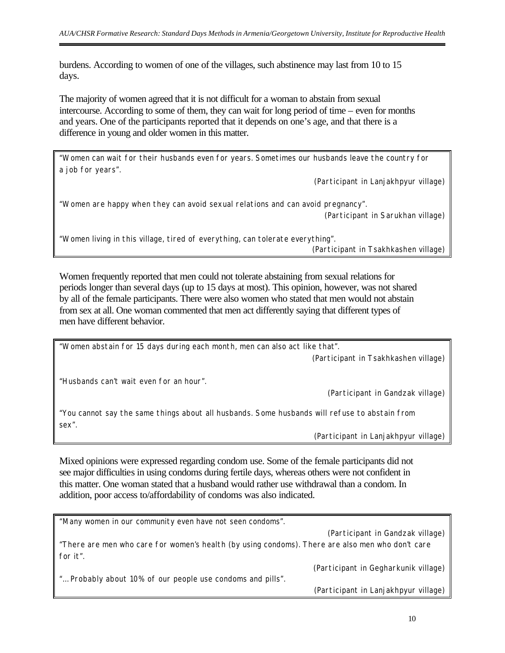burdens. According to women of one of the villages, such abstinence may last from 10 to 15 days.

The majority of women agreed that it is not difficult for a woman to abstain from sexual intercourse. According to some of them, they can wait for long period of time – even for months and years. One of the participants reported that it depends on one's age, and that there is a difference in young and older women in this matter.

"Women can wait for their husbands even for years. Sometimes our husbands leave the country for a job for years".

(Participant in Lanjakhpyur village)

"Women are happy when they can avoid sexual relations and can avoid pregnancy". (Participant in Sarukhan village)

"Women living in this village, tired of everything, can tolerate everything". (Participant in Tsakhkashen village)

Women frequently reported that men could not tolerate abstaining from sexual relations for periods longer than several days (up to 15 days at most). This opinion, however, was not shared by all of the female participants. There were also women who stated that men would not abstain from sex at all. One woman commented that men act differently saying that different types of men have different behavior.

"Women abstain for 15 days during each month, men can also act like that".

(Participant in Tsakhkashen village)

"Husbands can't wait even for an hour".

(Participant in Gandzak village)

"You cannot say the same things about all husbands. Some husbands will refuse to abstain from sex".

(Participant in Lanjakhpyur village)

Mixed opinions were expressed regarding condom use. Some of the female participants did not see major difficulties in using condoms during fertile days, whereas others were not confident in this matter. One woman stated that a husband would rather use withdrawal than a condom. In addition, poor access to/affordability of condoms was also indicated.

| "Many women in our community even have not seen condoms".                                        |                                      |  |  |
|--------------------------------------------------------------------------------------------------|--------------------------------------|--|--|
|                                                                                                  | (Participant in Gandzak village)     |  |  |
| "There are men who care for women's health (by using condoms). There are also men who don't care |                                      |  |  |
| for it".                                                                                         |                                      |  |  |
|                                                                                                  | (Participant in Gegharkunik village) |  |  |
| " Probably about 10% of our people use condoms and pills".                                       |                                      |  |  |
|                                                                                                  | (Participant in Lanjakhpyur village) |  |  |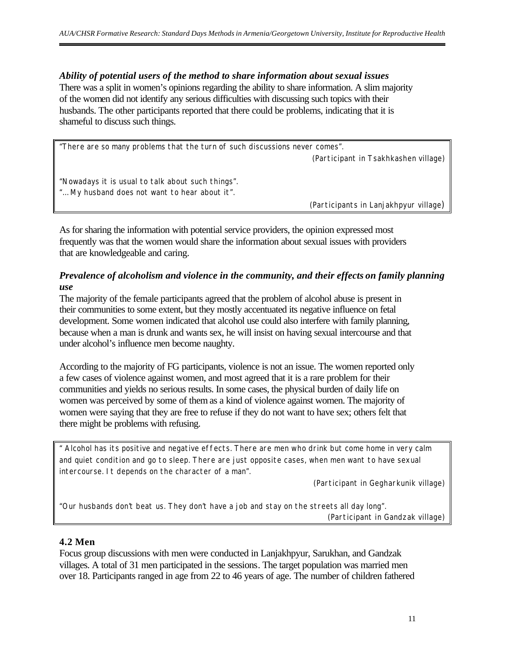# *Ability of potential users of the method to share information about sexual issues*

There was a split in women's opinions regarding the ability to share information. A slim majority of the women did not identify any serious difficulties with discussing such topics with their husbands. The other participants reported that there could be problems, indicating that it is shameful to discuss such things.

"There are so many problems that the turn of such discussions never comes".

(Participant in Tsakhkashen village)

"Nowadays it is usual to talk about such things".

"… My husband does not want to hear about it".

(Participants in Lanjakhpyur village)

As for sharing the information with potential service providers, the opinion expressed most frequently was that the women would share the information about sexual issues with providers that are knowledgeable and caring.

# *Prevalence of alcoholism and violence in the community, and their effects on family planning use*

The majority of the female participants agreed that the problem of alcohol abuse is present in their communities to some extent, but they mostly accentuated its negative influence on fetal development. Some women indicated that alcohol use could also interfere with family planning, because when a man is drunk and wants sex, he will insist on having sexual intercourse and that under alcohol's influence men become naughty.

According to the majority of FG participants, violence is not an issue. The women reported only a few cases of violence against women, and most agreed that it is a rare problem for their communities and yields no serious results. In some cases, the physical burden of daily life on women was perceived by some of them as a kind of violence against women. The majority of women were saying that they are free to refuse if they do not want to have sex; others felt that there might be problems with refusing.

" Alcohol has its positive and negative effects. There are men who drink but come home in very calm and quiet condition and go to sleep. There are just opposite cases, when men want to have sexual intercourse. It depends on the character of a man".

(Participant in Gegharkunik village)

"Our husbands don't beat us. They don't have a job and stay on the streets all day long". (Participant in Gandzak village)

# **4.2 Men**

Focus group discussions with men were conducted in Lanjakhpyur, Sarukhan, and Gandzak villages. A total of 31 men participated in the sessions. The target population was married men over 18. Participants ranged in age from 22 to 46 years of age. The number of children fathered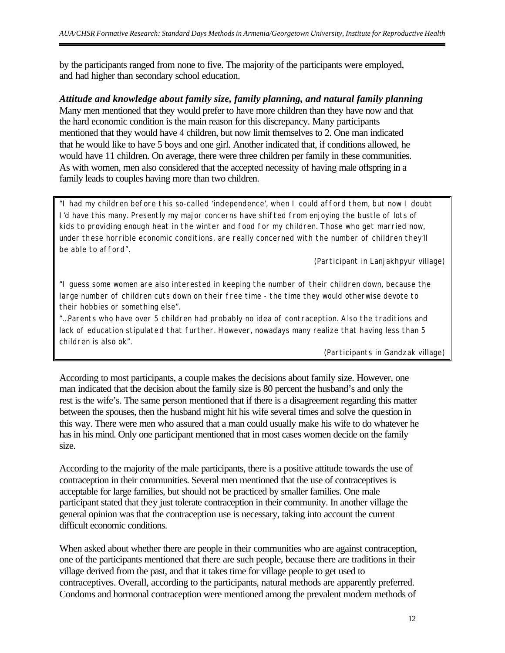by the participants ranged from none to five. The majority of the participants were employed, and had higher than secondary school education.

# *Attitude and knowledge about family size, family planning, and natural family planning*

Many men mentioned that they would prefer to have more children than they have now and that the hard economic condition is the main reason for this discrepancy. Many participants mentioned that they would have 4 children, but now limit themselves to 2. One man indicated that he would like to have 5 boys and one girl. Another indicated that, if conditions allowed, he would have 11 children. On average, there were three children per family in these communities. As with women, men also considered that the accepted necessity of having male offspring in a family leads to couples having more than two children.

"I had my children before this so-called 'independence', when I could afford them, but now I doubt I'd have this many. Presently my major concerns have shifted from enjoying the bustle of lots of kids to providing enough heat in the winter and food for my children. Those who get married now, under these horrible economic conditions, are really concerned with the number of children they'll be able to afford".

(Participant in Lanjakhpyur village)

"I guess some women are also interested in keeping the number of their children down, because the large number of children cuts down on their free time - the time they would otherwise devote to their hobbies or something else".

"…Parents who have over 5 children had probably no idea of contraception. Also the traditions and lack of education stipulated that further. However, nowadays many realize that having less than 5 children is also ok".

(Participants in Gandzak village)

According to most participants, a couple makes the decisions about family size. However, one man indicated that the decision about the family size is 80 percent the husband's and only the rest is the wife's. The same person mentioned that if there is a disagreement regarding this matter between the spouses, then the husband might hit his wife several times and solve the question in this way. There were men who assured that a man could usually make his wife to do whatever he has in his mind. Only one participant mentioned that in most cases women decide on the family size.

According to the majority of the male participants, there is a positive attitude towards the use of contraception in their communities. Several men mentioned that the use of contraceptives is acceptable for large families, but should not be practiced by smaller families. One male participant stated that they just tolerate contraception in their community. In another village the general opinion was that the contraception use is necessary, taking into account the current difficult economic conditions.

When asked about whether there are people in their communities who are against contraception, one of the participants mentioned that there are such people, because there are traditions in their village derived from the past, and that it takes time for village people to get used to contraceptives. Overall, according to the participants, natural methods are apparently preferred. Condoms and hormonal contraception were mentioned among the prevalent modern methods of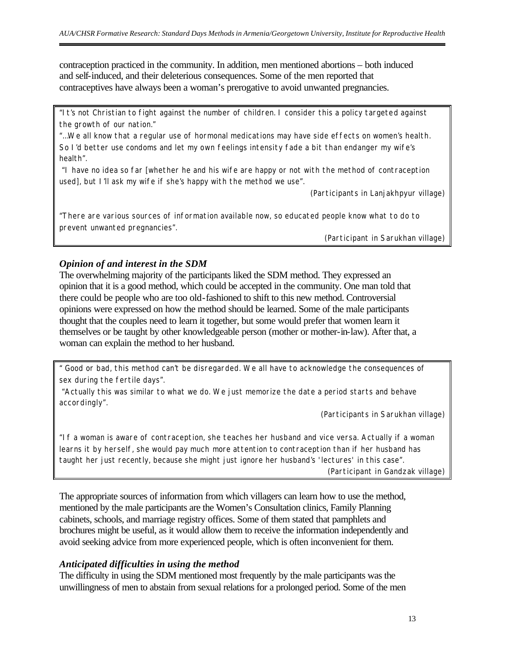contraception practiced in the community. In addition, men mentioned abortions – both induced and self-induced, and their deleterious consequences. Some of the men reported that contraceptives have always been a woman's prerogative to avoid unwanted pregnancies.

"It's not Christian to fight against the number of children. I consider this a policy targeted against the growth of our nation."

"…We all know that a regular use of hormonal medications may have side effects on women's health. So I'd better use condoms and let my *own* feelings intensity fade a bit than endanger my wife's health".

 "I have no idea so far [whether he and his wife are happy or not with the method of contraception used], but I'll ask my wife if she's happy with the method we use".

(Participants in Lanjakhpyur village)

"There are various sources of information available now, so educated people know what to do to prevent unwanted pregnancies".

(Participant in Sarukhan village)

# *Opinion of and interest in the SDM*

The overwhelming majority of the participants liked the SDM method. They expressed an opinion that it is a good method, which could be accepted in the community. One man told that there could be people who are too old-fashioned to shift to this new method. Controversial opinions were expressed on how the method should be learned. Some of the male participants thought that the couples need to learn it together, but some would prefer that women learn it themselves or be taught by other knowledgeable person (mother or mother-in-law). After that, a woman can explain the method to her husband.

" Good or bad, this method can't be disregarded. We all have to acknowledge the consequences of sex during the fertile days".

 "Actually this was similar to what we do. We just memorize the date a period starts and behave accordingly".

(Participants in Sarukhan village)

"If a woman is aware of contraception, she teaches her husband and vice versa. Actually if a woman learns it by herself, she would pay much *more* attention to contraception than if her husband has taught her just recently, because she might just ignore her husband's 'lectures' in this case". (Participant in Gandzak village)

The appropriate sources of information from which villagers can learn how to use the method, mentioned by the male participants are the Women's Consultation clinics, Family Planning cabinets, schools, and marriage registry offices. Some of them stated that pamphlets and brochures might be useful, as it would allow them to receive the information independently and avoid seeking advice from more experienced people, which is often inconvenient for them.

#### *Anticipated difficulties in using the method*

The difficulty in using the SDM mentioned most frequently by the male participants was the unwillingness of men to abstain from sexual relations for a prolonged period. Some of the men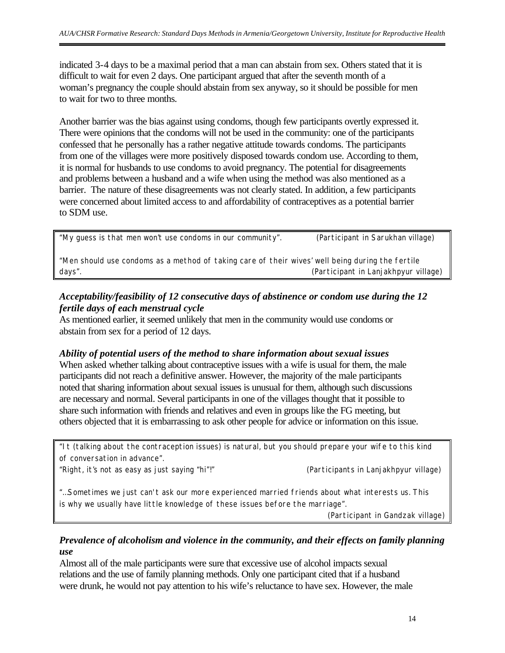indicated 3-4 days to be a maximal period that a man can abstain from sex. Others stated that it is difficult to wait for even 2 days. One participant argued that after the seventh month of a woman's pregnancy the couple should abstain from sex anyway, so it should be possible for men to wait for two to three months.

Another barrier was the bias against using condoms, though few participants overtly expressed it. There were opinions that the condoms will not be used in the community: one of the participants confessed that he personally has a rather negative attitude towards condoms. The participants from one of the villages were more positively disposed towards condom use. According to them, it is normal for husbands to use condoms to avoid pregnancy. The potential for disagreements and problems between a husband and a wife when using the method was also mentioned as a barrier. The nature of these disagreements was not clearly stated. In addition, a few participants were concerned about limited access to and affordability of contraceptives as a potential barrier to SDM use.

"My guess is that men won't use condoms in our community". (Participant in Sarukhan village)

"Men should use condoms as a method of taking care of their wives' well being during the fertile days". (Participant in Lanjakhpyur village)

# *Acceptability/feasibility of 12 consecutive days of abstinence or condom use during the 12 fertile days of each menstrual cycle*

As mentioned earlier, it seemed unlikely that men in the community would use condoms or abstain from sex for a period of 12 days.

#### *Ability of potential users of the method to share information about sexual issues*

When asked whether talking about contraceptive issues with a wife is usual for them, the male participants did not reach a definitive answer. However, the majority of the male participants noted that sharing information about sexual issues is unusual for them, although such discussions are necessary and normal. Several participants in one of the villages thought that it possible to share such information with friends and relatives and even in groups like the FG meeting, but others objected that it is embarrassing to ask other people for advice or information on this issue.

"It (talking about the contraception issues) is natural, but you should prepare your wife to this kind of conversation in advance".

"Right, it's not as easy as just saying "hi"!" (Participants in Lanjakhpyur village)

"…Sometimes we just can't ask our more experienced married friends about what interests us. This is why we usually have little knowledge of these issues before the marriage".

(Participant in Gandzak village)

# *Prevalence of alcoholism and violence in the community, and their effects on family planning use*

Almost all of the male participants were sure that excessive use of alcohol impacts sexual relations and the use of family planning methods. Only one participant cited that if a husband were drunk, he would not pay attention to his wife's reluctance to have sex. However, the male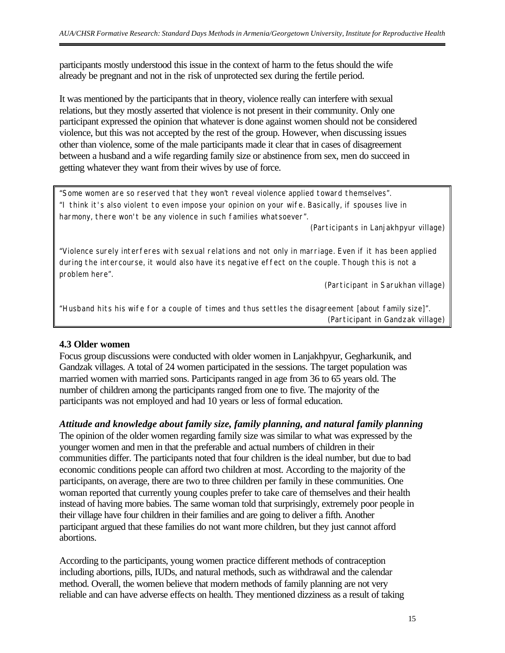participants mostly understood this issue in the context of harm to the fetus should the wife already be pregnant and not in the risk of unprotected sex during the fertile period.

It was mentioned by the participants that in theory, violence really can interfere with sexual relations, but they mostly asserted that violence is not present in their community. Only one participant expressed the opinion that whatever is done against women should not be considered violence, but this was not accepted by the rest of the group. However, when discussing issues other than violence, some of the male participants made it clear that in cases of disagreement between a husband and a wife regarding family size or abstinence from sex, men do succeed in getting whatever they want from their wives by use of force.

"Some women are so reserved that they won't reveal violence applied toward themselves". "I think it's also violent to even impose your opinion on your wife. Basically, if spouses live in harmony, there won't be any violence in such families whatsoever".

(Participants in Lanjakhpyur village)

"Violence surely interferes with sexual relations and not only in marriage. Even if it has been applied during the intercourse, it would also have its negative effect on the couple. Though this is not a problem here".

(Participant in Sarukhan village)

"Husband hits his wife for a couple of times and thus settles the disagreement [about family size]". (Participant in Gandzak village)

#### **4.3 Older women**

Focus group discussions were conducted with older women in Lanjakhpyur, Gegharkunik, and Gandzak villages. A total of 24 women participated in the sessions. The target population was married women with married sons. Participants ranged in age from 36 to 65 years old. The number of children among the participants ranged from one to five. The majority of the participants was not employed and had 10 years or less of formal education.

# *Attitude and knowledge about family size, family planning, and natural family planning*

The opinion of the older women regarding family size was similar to what was expressed by the younger women and men in that the preferable and actual numbers of children in their communities differ. The participants noted that four children is the ideal number, but due to bad economic conditions people can afford two children at most. According to the majority of the participants, on average, there are two to three children per family in these communities. One woman reported that currently young couples prefer to take care of themselves and their health instead of having more babies. The same woman told that surprisingly, extremely poor people in their village have four children in their families and are going to deliver a fifth. Another participant argued that these families do not want more children, but they just cannot afford abortions.

According to the participants, young women practice different methods of contraception including abortions, pills, IUDs, and natural methods, such as withdrawal and the calendar method. Overall, the women believe that modern methods of family planning are not very reliable and can have adverse effects on health. They mentioned dizziness as a result of taking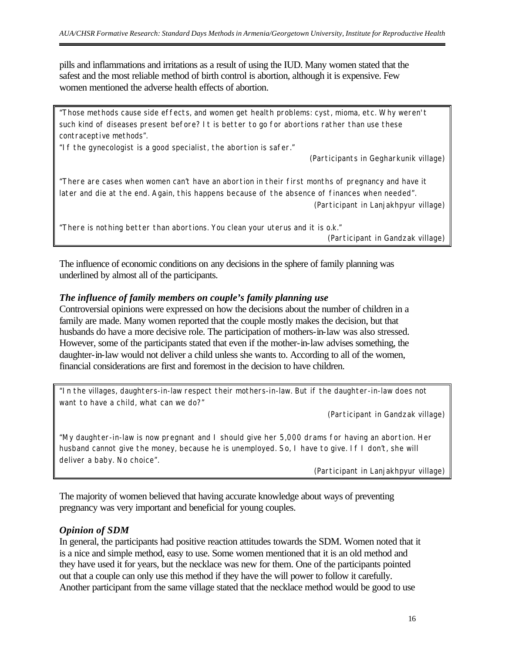pills and inflammations and irritations as a result of using the IUD. Many women stated that the safest and the most reliable method of birth control is abortion, although it is expensive. Few women mentioned the adverse health effects of abortion.

"Those methods cause side effects, and women get health problems: cyst, mioma, etc. Why weren't such kind of diseases present before? It is better to go for abortions rather than use these contraceptive methods".

"If the gynecologist is a good specialist, the abortion is safer."

(Participants in Gegharkunik village)

"There are cases when women can't have an abortion in their first months of pregnancy and have it later and die at the end. Again, this happens because of the absence of finances when needed". (Participant in Lanjakhpyur village)

"There is nothing better than abortions. You clean your uterus and it is o.k." (Participant in Gandzak village)

The influence of economic conditions on any decisions in the sphere of family planning was underlined by almost all of the participants.

#### *The influence of family members on couple's family planning use*

Controversial opinions were expressed on how the decisions about the number of children in a family are made. Many women reported that the couple mostly makes the decision, but that husbands do have a more decisive role. The participation of mothers-in-law was also stressed. However, some of the participants stated that even if the mother-in-law advises something, the daughter-in-law would not deliver a child unless she wants to. According to all of the women, financial considerations are first and foremost in the decision to have children.

"In the villages, daughters-in-law respect their mothers-in-law. But if the daughter-in-law does not want to have a child, what can we do?"

(Participant in Gandzak village)

"My daughter-in-law is now pregnant and I should give her 5,000 drams for having an abortion. Her husband cannot give the money, because he is unemployed. So, I have to give. If I don't, she will deliver a baby. No choice".

(Participant in Lanjakhpyur village)

The majority of women believed that having accurate knowledge about ways of preventing pregnancy was very important and beneficial for young couples.

#### *Opinion of SDM*

In general, the participants had positive reaction attitudes towards the SDM. Women noted that it is a nice and simple method, easy to use. Some women mentioned that it is an old method and they have used it for years, but the necklace was new for them. One of the participants pointed out that a couple can only use this method if they have the will power to follow it carefully. Another participant from the same village stated that the necklace method would be good to use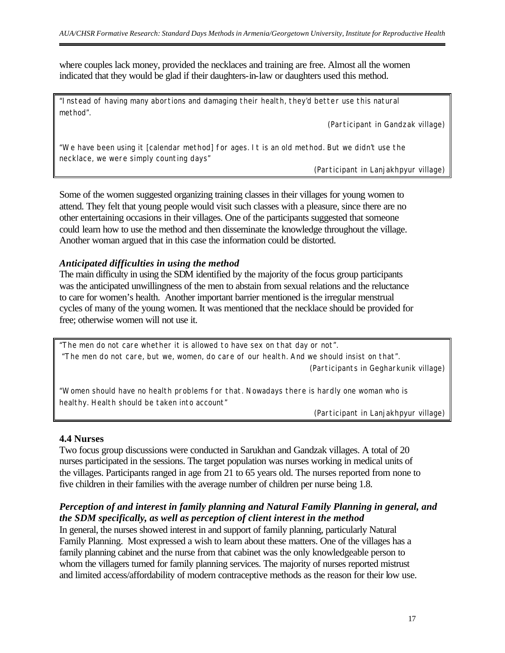where couples lack money, provided the necklaces and training are free. Almost all the women indicated that they would be glad if their daughters-in-law or daughters used this method.

"Instead of having many abortions and damaging their health, they'd better use this natural method".

(Participant in Gandzak village)

"We have been using it [calendar method] for ages. It is an old method. But we didn't use the necklace, we were simply counting days"

(Participant in Lanjakhpyur village)

Some of the women suggested organizing training classes in their villages for young women to attend. They felt that young people would visit such classes with a pleasure, since there are no other entertaining occasions in their villages. One of the participants suggested that someone could learn how to use the method and then disseminate the knowledge throughout the village. Another woman argued that in this case the information could be distorted.

## *Anticipated difficulties in using the method*

The main difficulty in using the SDM identified by the majority of the focus group participants was the anticipated unwillingness of the men to abstain from sexual relations and the reluctance to care for women's health. Another important barrier mentioned is the irregular menstrual cycles of many of the young women. It was mentioned that the necklace should be provided for free; otherwise women will not use it.

"The men do not care whether it is allowed to have sex on that day or not". "The men do not care, but we, women, do care of our health. And we should insist on that". (Participants in Gegharkunik village)

"Women should have no health problems for that. Nowadays there is hardly one woman who is healthy. Health should be taken into account"

(Participant in Lanjakhpyur village)

# **4.4 Nurses**

Two focus group discussions were conducted in Sarukhan and Gandzak villages. A total of 20 nurses participated in the sessions. The target population was nurses working in medical units of the villages. Participants ranged in age from 21 to 65 years old. The nurses reported from none to five children in their families with the average number of children per nurse being 1.8.

# *Perception of and interest in family planning and Natural Family Planning in general, and the SDM specifically, as well as perception of client interest in the method*

In general, the nurses showed interest in and support of family planning, particularly Natural Family Planning. Most expressed a wish to learn about these matters. One of the villages has a family planning cabinet and the nurse from that cabinet was the only knowledgeable person to whom the villagers turned for family planning services. The majority of nurses reported mistrust and limited access/affordability of modern contraceptive methods as the reason for their low use.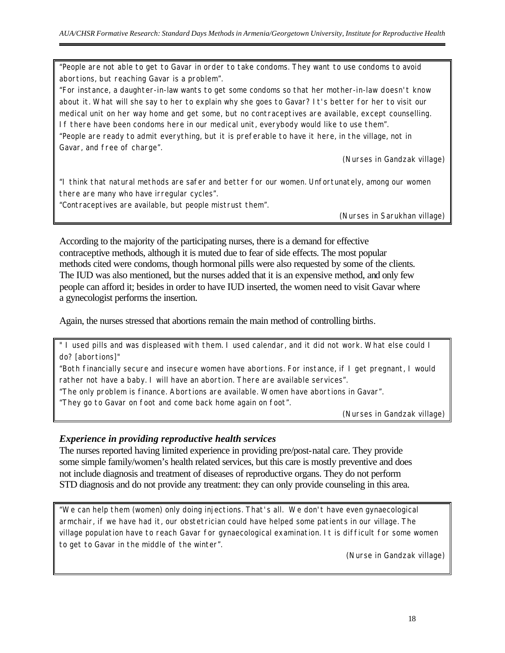"People are not able to get to Gavar in order to take condoms. They want to use condoms to avoid abortions, but reaching Gavar is a problem".

"For instance, a daughter-in-law wants to get some condoms so that her mother-in-law doesn't know about it. What will she say to her to explain why she goes to Gavar? It's better for her to visit our medical unit on her way home and get some, but no contraceptives are available, except counselling. If there have been condoms here in our medical unit, everybody would like to use them". "People are ready to admit everything, but it is preferable to have it here, in the village, not in Gavar, and free of charge".

(Nurses in Gandzak village)

"I think that natural methods are safer and better for our women. Unfortunately, among our women there are many who have irregular cycles".

"Contraceptives are available, but people mistrust them".

(Nurses in Sarukhan village)

According to the majority of the participating nurses, there is a demand for effective contraceptive methods, although it is muted due to fear of side effects. The most popular methods cited were condoms, though hormonal pills were also requested by some of the clients. The IUD was also mentioned, but the nurses added that it is an expensive method, and only few people can afford it; besides in order to have IUD inserted, the women need to visit Gavar where a gynecologist performs the insertion.

Again, the nurses stressed that abortions remain the main method of controlling births.

" I used pills and was displeased with them. I used calendar, and it did not work. What else could I do? [abortions]"

"Both financially secure and insecure women have abortions. For instance, if I get pregnant, I would rather not have a baby. I will have an abortion. There are available services".

"The only problem is finance. Abortions are available. Women have abortions in Gavar".

"They go to Gavar on foot and come back home again on foot".

(Nurses in Gandzak village)

#### *Experience in providing reproductive health services*

The nurses reported having limited experience in providing pre/post-natal care. They provide some simple family/women's health related services, but this care is mostly preventive and does not include diagnosis and treatment of diseases of reproductive organs. They do not perform STD diagnosis and do not provide any treatment: they can only provide counseling in this area.

"We can help them (women) only doing injections. That's all. We don't have even gynaecological armchair, if we have had it, our obstetrician could have helped some patients in our village. The village population have to reach Gavar for gynaecological examination. It is difficult for some women to get to Gavar in the middle of the winter".

(Nurse in Gandzak village)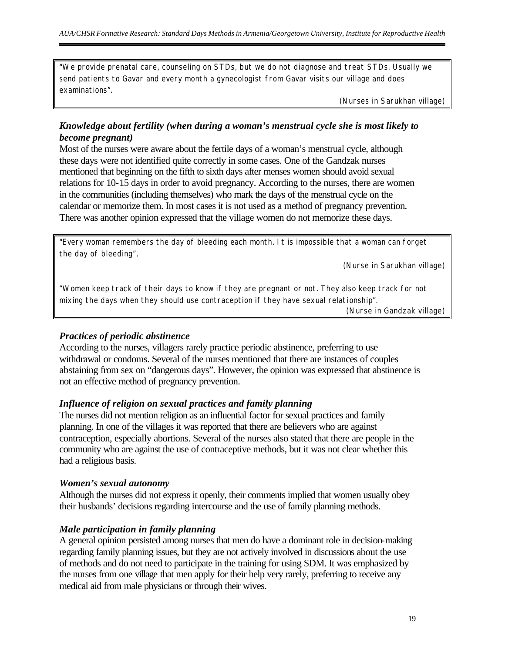"We provide prenatal care, counseling on STDs, but we do not diagnose and treat STDs. Usually we send patients to Gavar and every month a gynecologist from Gavar visits our village and does examinations".

(Nurses in Sarukhan village)

## *Knowledge about fertility (when during a woman's menstrual cycle she is most likely to become pregnant)*

Most of the nurses were aware about the fertile days of a woman's menstrual cycle, although these days were not identified quite correctly in some cases. One of the Gandzak nurses mentioned that beginning on the fifth to sixth days after menses women should avoid sexual relations for 10-15 days in order to avoid pregnancy. According to the nurses, there are women in the communities (including themselves) who mark the days of the menstrual cycle on the calendar or memorize them. In most cases it is not used as a method of pregnancy prevention. There was another opinion expressed that the village women do not memorize these days.

"Every woman remembers the day of bleeding each month. It is impossible that a woman can forget the day of bleeding".

(Nurse in Sarukhan village)

"Women keep track of their days to know if they are pregnant or not. They also keep track for not mixing the days when they should use contraception if they have sexual relationship".

(Nurse in Gandzak village)

#### *Practices of periodic abstinence*

According to the nurses, villagers rarely practice periodic abstinence, preferring to use withdrawal or condoms. Several of the nurses mentioned that there are instances of couples abstaining from sex on "dangerous days". However, the opinion was expressed that abstinence is not an effective method of pregnancy prevention.

#### *Influence of religion on sexual practices and family planning*

The nurses did not mention religion as an influential factor for sexual practices and family planning. In one of the villages it was reported that there are believers who are against contraception, especially abortions. Several of the nurses also stated that there are people in the community who are against the use of contraceptive methods, but it was not clear whether this had a religious basis.

#### *Women's sexual autonomy*

Although the nurses did not express it openly, their comments implied that women usually obey their husbands' decisions regarding intercourse and the use of family planning methods.

#### *Male participation in family planning*

A general opinion persisted among nurses that men do have a dominant role in decision-making regarding family planning issues, but they are not actively involved in discussions about the use of methods and do not need to participate in the training for using SDM. It was emphasized by the nurses from one village that men apply for their help very rarely, preferring to receive any medical aid from male physicians or through their wives.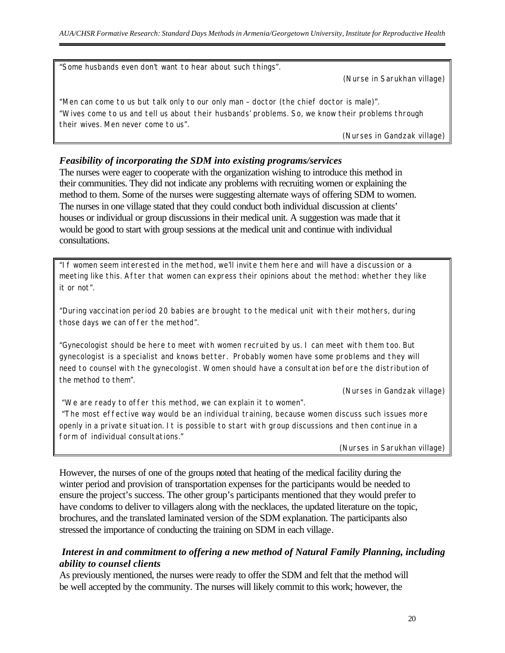"Some husbands even don't want to hear about such things".

(Nurse in Sarukhan village)

"Men can come to us but talk only to our only man – doctor (the chief doctor is male)". "Wives come to us and tell us about their husbands' problems. So, we know their problems through their wives. Men never come to us".

(Nurses in Gandzak village)

# *Feasibility of incorporating the SDM into existing programs/services*

The nurses were eager to cooperate with the organization wishing to introduce this method in their communities. They did not indicate any problems with recruiting women or explaining the method to them. Some of the nurses were suggesting alternate ways of offering SDM to women. The nurses in one village stated that they could conduct both individual discussion at clients' houses or individual or group discussions in their medical unit. A suggestion was made that it would be good to start with group sessions at the medical unit and continue with individual consultations.

"If women seem interested in the method, we'll invite them here and will have a discussion or a meeting like this. After that women can express their opinions about the method: whether they like it or not".

"During vaccination period 20 babies are brought to the medical unit with their mothers, during those days we can offer the method".

"Gynecologist should be here to meet with women recruited by us. I can meet with them too. But gynecologist is a specialist and knows better. Probably women have some problems and they will need to counsel with the gynecologist. Women should have a consultation before the distribution of the method to them".

(Nurses in Gandzak village)

"We are ready to offer this method, we can explain it to women".

"The most effective way would be an individual training, because women discuss such issues more openly in a private situation. It is possible to start with group discussions and then continue in a form of individual consultations."

(Nurses in Sarukhan village)

However, the nurses of one of the groups noted that heating of the medical facility during the winter period and provision of transportation expenses for the participants would be needed to ensure the project's success. The other group's participants mentioned that they would prefer to have condoms to deliver to villagers along with the necklaces, the updated literature on the topic, brochures, and the translated laminated version of the SDM explanation. The participants also stressed the importance of conducting the training on SDM in each village.

## *Interest in and commitment to offering a new method of Natural Family Planning, including ability to counsel clients*

As previously mentioned, the nurses were ready to offer the SDM and felt that the method will be well accepted by the community. The nurses will likely commit to this work; however, the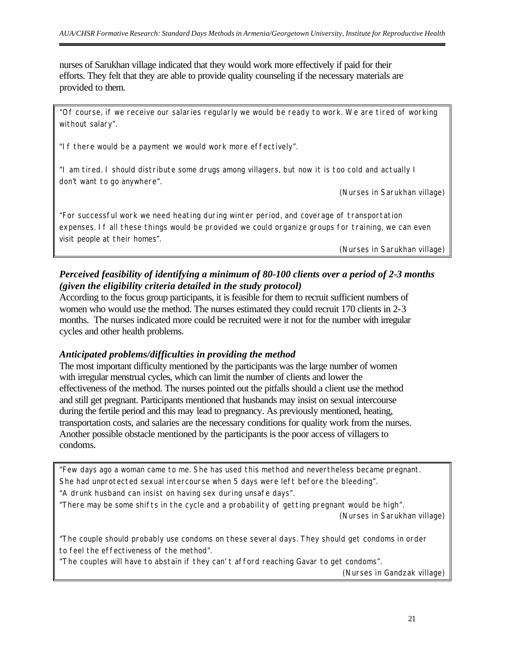nurses of Sarukhan village indicated that they would work more effectively if paid for their efforts. They felt that they are able to provide quality counseling if the necessary materials are provided to them.

"Of course, if we receive our salaries regularly we would be ready to work. We are tired of working without salary".

"If there would be a payment we would work more effectively".

"I am tired. I should distribute some drugs among villagers, but now it is too cold and actually I don't want to go anywhere".

(Nurses in Sarukhan village)

"For successful work we need heating during winter period, and coverage of transportation expenses. If all these things would be provided we could organize groups for training, we can even visit people at their homes".

(Nurses in Sarukhan village)

# *Perceived feasibility of identifying a minimum of 80-100 clients over a period of 2-3 months (given the eligibility criteria detailed in the study protocol)*

According to the focus group participants, it is feasible for them to recruit sufficient numbers of women who would use the method. The nurses estimated they could recruit 170 clients in 2-3 months. The nurses indicated more could be recruited were it not for the number with irregular cycles and other health problems.

#### *Anticipated problems/difficulties in providing the method*

The most important difficulty mentioned by the participants was the large number of women with irregular menstrual cycles, which can limit the number of clients and lower the effectiveness of the method. The nurses pointed out the pitfalls should a client use the method and still get pregnant. Participants mentioned that husbands may insist on sexual intercourse during the fertile period and this may lead to pregnancy. As previously mentioned, heating, transportation costs, and salaries are the necessary conditions for quality work from the nurses. Another possible obstacle mentioned by the participants is the poor access of villagers to condoms.

"Few days ago a woman came to me. She has used this method and nevertheless became pregnant. She had unprotected sexual intercourse when 5 days were left before the bleeding".

"A drunk husband can insist on having sex during unsafe days".

"There may be some shifts in the cycle and a probability of getting pregnant would be high".

(Nurses in Sarukhan village)

"The couple should probably use condoms on these several days. They should get condoms in order to feel the effectiveness of the method".

"The couples will have to abstain if they can' t afford reaching Gavar to get condoms".

(Nurses in Gandzak village)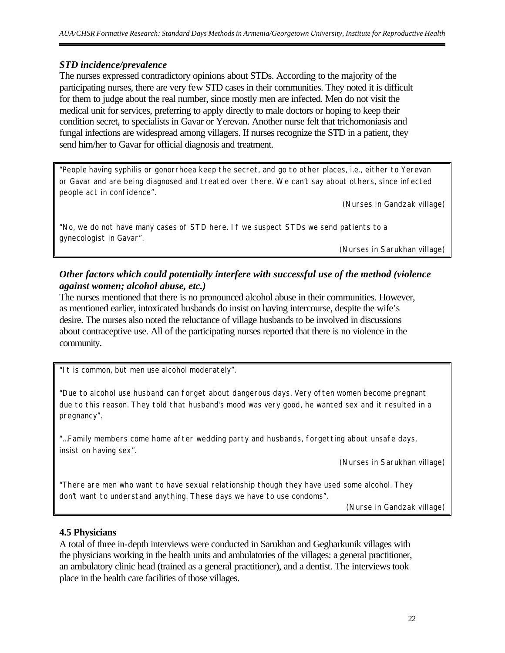# *STD incidence/prevalence*

The nurses expressed contradictory opinions about STDs. According to the majority of the participating nurses, there are very few STD cases in their communities. They noted it is difficult for them to judge about the real number, since mostly men are infected. Men do not visit the medical unit for services, preferring to apply directly to male doctors or hoping to keep their condition secret, to specialists in Gavar or Yerevan. Another nurse felt that trichomoniasis and fungal infections are widespread among villagers. If nurses recognize the STD in a patient, they send him/her to Gavar for official diagnosis and treatment.

"People having syphilis or gonorrhoea keep the secret, and go to other places, i.e., either to Yerevan or Gavar and are being diagnosed and treated over there. We can't say about others, since infected people act in confidence".

(Nurses in Gandzak village)

"No, we do not have many cases of STD here. If we suspect STDs we send patients to a gynecologist in Gavar".

(Nurses in Sarukhan village)

# *Other factors which could potentially interfere with successful use of the method (violence against women; alcohol abuse, etc.)*

The nurses mentioned that there is no pronounced alcohol abuse in their communities. However, as mentioned earlier, intoxicated husbands do insist on having intercourse, despite the wife's desire. The nurses also noted the reluctance of village husbands to be involved in discussions about contraceptive use. All of the participating nurses reported that there is no violence in the community.

"It is common, but men use alcohol moderately".

"Due to alcohol use husband can forget about dangerous days. Very often women become pregnant due to this reason. They told that husband's mood was very good, he wanted sex and it resulted in a pregnancy".

"…Family members come home after wedding party and husbands, forgetting about unsafe days, insist on having sex".

(Nurses in Sarukhan village)

"There are men who want to have sexual relationship though they have used some alcohol. They don't want to understand anything. These days we have to use condoms".

(Nurse in Gandzak village)

# **4.5 Physicians**

A total of three in-depth interviews were conducted in Sarukhan and Gegharkunik villages with the physicians working in the health units and ambulatories of the villages: a general practitioner, an ambulatory clinic head (trained as a general practitioner), and a dentist. The interviews took place in the health care facilities of those villages.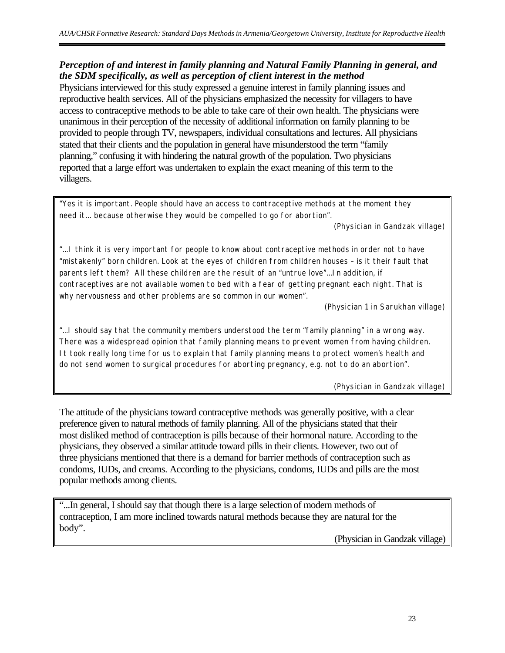# *Perception of and interest in family planning and Natural Family Planning in general, and the SDM specifically, as well as perception of client interest in the method*

Physicians interviewed for this study expressed a genuine interest in family planning issues and reproductive health services. All of the physicians emphasized the necessity for villagers to have access to contraceptive methods to be able to take care of their own health. The physicians were unanimous in their perception of the necessity of additional information on family planning to be provided to people through TV, newspapers, individual consultations and lectures. All physicians stated that their clients and the population in general have misunderstood the term "family planning," confusing it with hindering the natural growth of the population. Two physicians reported that a large effort was undertaken to explain the exact meaning of this term to the villagers.

"Yes it is important. People should have an access to contraceptive methods at the moment they need it... because otherwise they would be compelled to go for abortion".

(Physician in Gandzak village)

"... I think it is very important for people to know about contraceptive methods in order not to have "mistakenly" born children. Look at the eyes of children from children houses – is it their fault that parents left them? All these children are the result of an "untrue love"...In addition, if contraceptives are not available women to bed with a fear of getting pregnant each night. That is why nervousness and other problems are so common in our women".

(Physician 1 in Sarukhan village)

"...I should say that the community members understood the term "family planning" in a wrong way. There was a widespread opinion that family planning means to prevent women from having children. It took really long time for us to explain that family planning means to protect women's health and do not send women to surgical procedures for aborting pregnancy, e.g. not to do an abortion".

(Physician in Gandzak village)

The attitude of the physicians toward contraceptive methods was generally positive, with a clear preference given to natural methods of family planning. All of the physicians stated that their most disliked method of contraception is pills because of their hormonal nature. According to the physicians, they observed a similar attitude toward pills in their clients. However, two out of three physicians mentioned that there is a demand for barrier methods of contraception such as condoms, IUDs, and creams. According to the physicians, condoms, IUDs and pills are the most popular methods among clients.

"...In general, I should say that though there is a large selection of modern methods of contraception, I am more inclined towards natural methods because they are natural for the body".

(Physician in Gandzak village)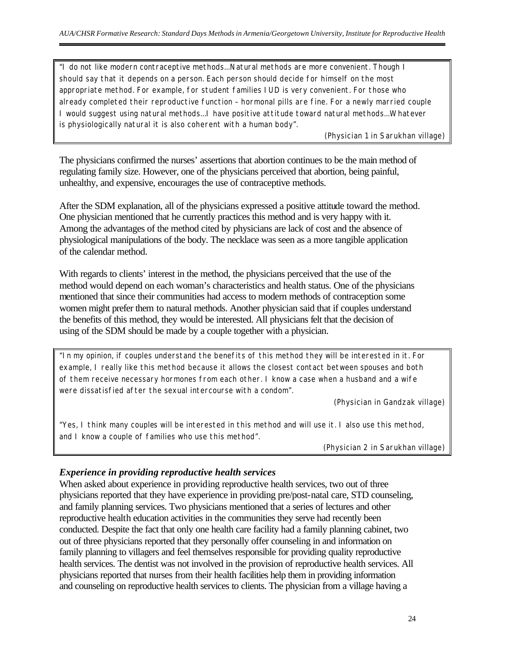"I do not like modern contraceptive methods...Natural methods are more convenient. Though I should say that it depends on a person. Each person should decide for himself on the most appropriate method. For example, for student families IUD is very convenient. For those who already completed their reproductive function – hormonal pills are fine. For a newly married couple I would suggest using natural methods...I have positive attitude toward natural methods...Whatever is physiologically natural it is also coherent with a human body".

(Physician 1 in Sarukhan village)

The physicians confirmed the nurses' assertions that abortion continues to be the main method of regulating family size. However, one of the physicians perceived that abortion, being painful, unhealthy, and expensive, encourages the use of contraceptive methods.

After the SDM explanation, all of the physicians expressed a positive attitude toward the method. One physician mentioned that he currently practices this method and is very happy with it. Among the advantages of the method cited by physicians are lack of cost and the absence of physiological manipulations of the body. The necklace was seen as a more tangible application of the calendar method.

With regards to clients' interest in the method, the physicians perceived that the use of the method would depend on each woman's characteristics and health status. One of the physicians mentioned that since their communities had access to modern methods of contraception some women might prefer them to natural methods. Another physician said that if couples understand the benefits of this method, they would be interested. All physicians felt that the decision of using of the SDM should be made by a couple together with a physician.

"In my opinion, if couples understand the benefits of this method they will be interested in it. For example, I really like this method because it allows the closest contact between spouses and both of them receive necessary hormones from each other. I know a case when a husband and a wife were dissatisfied after the sexual intercourse with a condom".

(Physician in Gandzak village)

"Yes, I think many couples will be interested in this method and will use it. I also use this method, and I know a couple of families who use this method".

(Physician 2 in Sarukhan village)

# *Experience in providing reproductive health services*

When asked about experience in providing reproductive health services, two out of three physicians reported that they have experience in providing pre/post-natal care, STD counseling, and family planning services. Two physicians mentioned that a series of lectures and other reproductive health education activities in the communities they serve had recently been conducted. Despite the fact that only one health care facility had a family planning cabinet, two out of three physicians reported that they personally offer counseling in and information on family planning to villagers and feel themselves responsible for providing quality reproductive health services. The dentist was not involved in the provision of reproductive health services. All physicians reported that nurses from their health facilities help them in providing information and counseling on reproductive health services to clients. The physician from a village having a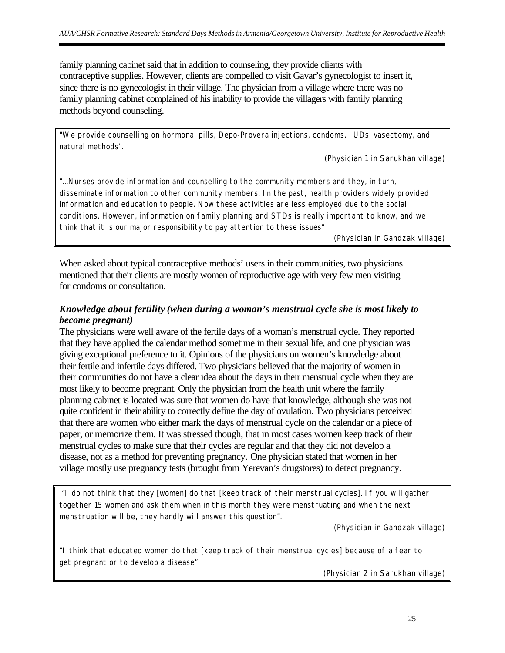family planning cabinet said that in addition to counseling, they provide clients with contraceptive supplies. However, clients are compelled to visit Gavar's gynecologist to insert it, since there is no gynecologist in their village. The physician from a village where there was no family planning cabinet complained of his inability to provide the villagers with family planning methods beyond counseling.

"We provide counselling on hormonal pills, Depo-Provera injections, condoms, IUDs, vasectomy, and natural methods".

(Physician 1 in Sarukhan village)

"...Nurses provide information and counselling to the community members and they, in turn, disseminate information to other community members. In the past, health providers widely provided information and education to people. Now these activities are less employed due to the social conditions. However, information on family planning and STDs is really important to know, and we think that it is our major responsibility to pay attention to these issues"

(Physician in Gandzak village)

When asked about typical contraceptive methods' users in their communities, two physicians mentioned that their clients are mostly women of reproductive age with very few men visiting for condoms or consultation.

# *Knowledge about fertility (when during a woman's menstrual cycle she is most likely to become pregnant)*

The physicians were well aware of the fertile days of a woman's menstrual cycle. They reported that they have applied the calendar method sometime in their sexual life, and one physician was giving exceptional preference to it. Opinions of the physicians on women's knowledge about their fertile and infertile days differed. Two physicians believed that the majority of women in their communities do not have a clear idea about the days in their menstrual cycle when they are most likely to become pregnant. Only the physician from the health unit where the family planning cabinet is located was sure that women do have that knowledge, although she was not quite confident in their ability to correctly define the day of ovulation. Two physicians perceived that there are women who either mark the days of menstrual cycle on the calendar or a piece of paper, or memorize them. It was stressed though, that in most cases women keep track of their menstrual cycles to make sure that their cycles are regular and that they did not develop a disease, not as a method for preventing pregnancy. One physician stated that women in her village mostly use pregnancy tests (brought from Yerevan's drugstores) to detect pregnancy.

 "I do not think that they [women] do that [keep track of their menstrual cycles]. If you will gather together 15 women and ask them when in this month they were menstruating and when the next menstruation will be, they hardly will answer this question".

(Physician in Gandzak village)

"I think that educated women do that [keep track of their menstrual cycles] because of a fear to get pregnant or to develop a disease"

(Physician 2 in Sarukhan village)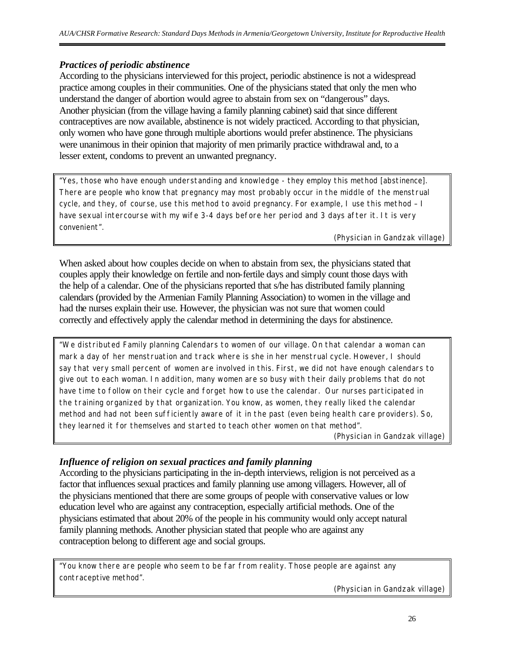# *Practices of periodic abstinence*

According to the physicians interviewed for this project, periodic abstinence is not a widespread practice among couples in their communities. One of the physicians stated that only the men who understand the danger of abortion would agree to abstain from sex on "dangerous" days. Another physician (from the village having a family planning cabinet) said that since different contraceptives are now available, abstinence is not widely practiced. According to that physician, only women who have gone through multiple abortions would prefer abstinence. The physicians were unanimous in their opinion that majority of men primarily practice withdrawal and, to a lesser extent, condoms to prevent an unwanted pregnancy.

"Yes, those who have enough understanding and knowledge - they employ this method [abstinence]. There are people who know that pregnancy may most probably occur in the middle of the menstrual cycle, and they, of course, use this method to avoid pregnancy. For example, I use this method – I have sexual intercourse with my wife 3-4 days before her period and 3 days after it. It is very convenient".

(Physician in Gandzak village)

When asked about how couples decide on when to abstain from sex, the physicians stated that couples apply their knowledge on fertile and non-fertile days and simply count those days with the help of a calendar. One of the physicians reported that s/he has distributed family planning calendars (provided by the Armenian Family Planning Association) to women in the village and had the nurses explain their use. However, the physician was not sure that women could correctly and effectively apply the calendar method in determining the days for abstinence.

"We distributed Family planning Calendars to women of our village. On that calendar a woman can mark a day of her menstruation and track where is she in her menstrual cycle. However, I should say that very small percent of women are involved in this. First, we did not have enough calendars to give out to each woman. In addition, many women are so busy with their daily problems that do not have time to follow on their cycle and forget how to use the calendar. Our nurses participated in the training organized by that organization. You know, as women, they really liked the calendar method and had not been sufficiently aware of it in the past (even being health care providers). So, they learned it for themselves and started to teach other women on that method".

(Physician in Gandzak village)

# *Influence of religion on sexual practices and family planning*

According to the physicians participating in the in-depth interviews, religion is not perceived as a factor that influences sexual practices and family planning use among villagers. However, all of the physicians mentioned that there are some groups of people with conservative values or low education level who are against any contraception, especially artificial methods. One of the physicians estimated that about 20% of the people in his community would only accept natural family planning methods. Another physician stated that people who are against any contraception belong to different age and social groups.

"You know there are people who seem to be far from reality. Those people are against any contraceptive method".

(Physician in Gandzak village)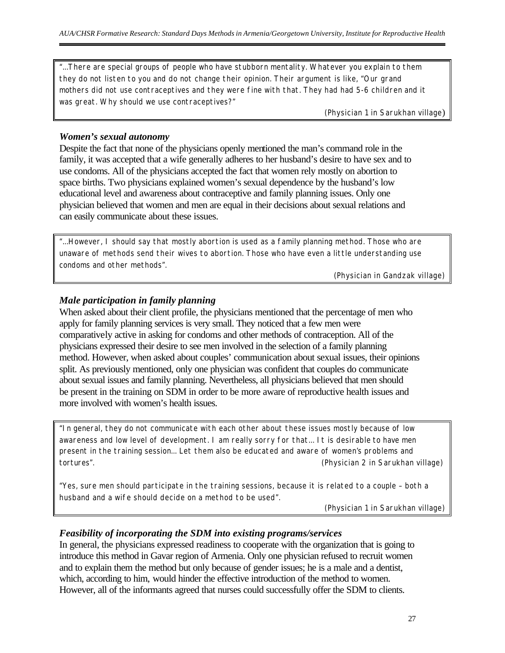"...There are special groups of people who have stubborn mentality. Whatever you explain to them they do not listen to you and do not change their opinion. Their argument is like, "Our grand mothers did not use contraceptives and they were fine with that. They had had 5-6 children and it was great. Why should we use contraceptives?"

(Physician 1 in Sarukhan village)

#### *Women's sexual autonomy*

Despite the fact that none of the physicians openly mentioned the man's command role in the family, it was accepted that a wife generally adheres to her husband's desire to have sex and to use condoms. All of the physicians accepted the fact that women rely mostly on abortion to space births. Two physicians explained women's sexual dependence by the husband's low educational level and awareness about contraceptive and family planning issues. Only one physician believed that women and men are equal in their decisions about sexual relations and can easily communicate about these issues.

"...However, I should say that mostly abortion is used as a family planning method. Those who are unaware of methods send their wives to abortion. Those who have even a little understanding use condoms and other methods".

(Physician in Gandzak village)

# *Male participation in family planning*

When asked about their client profile, the physicians mentioned that the percentage of men who apply for family planning services is very small. They noticed that a few men were comparatively active in asking for condoms and other methods of contraception. All of the physicians expressed their desire to see men involved in the selection of a family planning method. However, when asked about couples' communication about sexual issues, their opinions split. As previously mentioned, only one physician was confident that couples do communicate about sexual issues and family planning. Nevertheless, all physicians believed that men should be present in the training on SDM in order to be more aware of reproductive health issues and more involved with women's health issues.

"In general, they do not communicate with each other about these issues mostly because of low awareness and low level of development. I am really sorry for that... It is desirable to have men present in the training session... Let them also be educated and aware of women's problems and tortures". (Physician 2 in Sarukhan village)

"Yes, sure men should participate in the training sessions, because it is related to a couple – both a husband and a wife should decide on a method to be used".

(Physician 1 in Sarukhan village)

#### *Feasibility of incorporating the SDM into existing programs/services*

In general, the physicians expressed readiness to cooperate with the organization that is going to introduce this method in Gavar region of Armenia. Only one physician refused to recruit women and to explain them the method but only because of gender issues; he is a male and a dentist, which, according to him, would hinder the effective introduction of the method to women. However, all of the informants agreed that nurses could successfully offer the SDM to clients.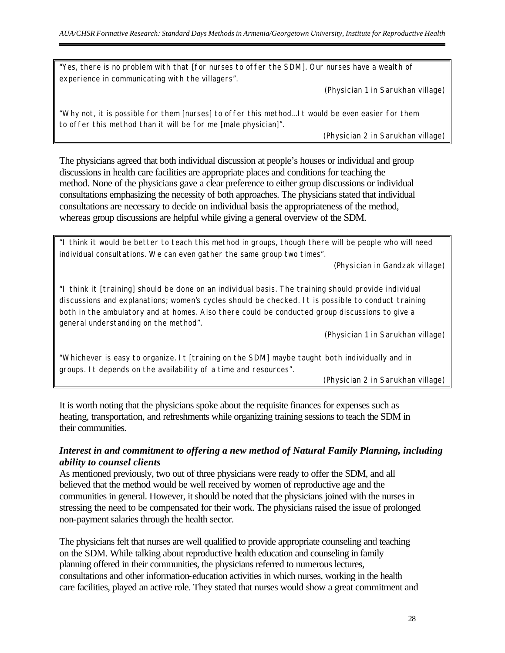"Yes, there is no problem with that [for nurses to offer the SDM]. Our nurses have a wealth of experience in communicating with the villagers".

(Physician 1 in Sarukhan village)

"Why not, it is possible for them [nurses] to offer this method...It would be even easier for them to offer this method than it will be for me [male physician]".

(Physician 2 in Sarukhan village)

The physicians agreed that both individual discussion at people's houses or individual and group discussions in health care facilities are appropriate places and conditions for teaching the method. None of the physicians gave a clear preference to either group discussions or individual consultations emphasizing the necessity of both approaches. The physicians stated that individual consultations are necessary to decide on individual basis the appropriateness of the method, whereas group discussions are helpful while giving a general overview of the SDM.

"I think it would be better to teach this method in groups, though there will be people who will need individual consultations. We can even gather the same group two times".

(Physician in Gandzak village)

"I think it [training] should be done on an individual basis. The training should provide individual discussions and explanations; women's cycles should be checked. It is possible to conduct training both in the ambulatory and at homes. Also there could be conducted group discussions to give a general understanding on the method".

(Physician 1 in Sarukhan village)

"Whichever is easy to organize. It [training on the SDM] maybe taught both individually and in groups. It depends on the availability of a time and resources".

(Physician 2 in Sarukhan village)

It is worth noting that the physicians spoke about the requisite finances for expenses such as heating, transportation, and refreshments while organizing training sessions to teach the SDM in their communities.

## *Interest in and commitment to offering a new method of Natural Family Planning, including ability to counsel clients*

As mentioned previously, two out of three physicians were ready to offer the SDM, and all believed that the method would be well received by women of reproductive age and the communities in general. However, it should be noted that the physicians joined with the nurses in stressing the need to be compensated for their work. The physicians raised the issue of prolonged non-payment salaries through the health sector.

The physicians felt that nurses are well qualified to provide appropriate counseling and teaching on the SDM. While talking about reproductive health education and counseling in family planning offered in their communities, the physicians referred to numerous lectures, consultations and other information-education activities in which nurses, working in the health care facilities, played an active role. They stated that nurses would show a great commitment and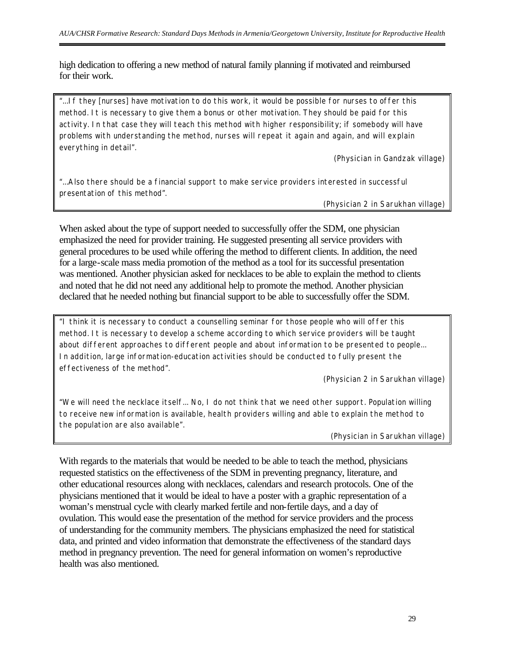high dedication to offering a new method of natural family planning if motivated and reimbursed for their work.

"...If they [nurses] have motivation to do this work, it would be possible for nurses to offer this method. It is necessary to give them a bonus or other motivation. They should be paid for this activity. In that case they will teach this method with higher responsibility; if somebody will have problems with understanding the method, nurses will repeat it again and again, and will explain everything in detail".

(Physician in Gandzak village)

"...Also there should be a financial support to make service providers interested in successful presentation of this method".

(Physician 2 in Sarukhan village)

When asked about the type of support needed to successfully offer the SDM, one physician emphasized the need for provider training. He suggested presenting all service providers with general procedures to be used while offering the method to different clients. In addition, the need for a large-scale mass media promotion of the method as a tool for its successful presentation was mentioned. Another physician asked for necklaces to be able to explain the method to clients and noted that he did not need any additional help to promote the method. Another physician declared that he needed nothing but financial support to be able to successfully offer the SDM.

"I think it is necessary to conduct a counselling seminar for those people who will offer this method. It is necessary to develop a scheme according to which service providers will be taught about different approaches to different people and about information to be presented to people... In addition, large information-education activities should be conducted to fully present the effectiveness of the method".

(Physician 2 in Sarukhan village)

"We will need the necklace itself... No, I do not think that we need other support. Population willing to receive new information is available, health providers willing and able to explain the method to the population are also available".

(Physician in Sarukhan village)

With regards to the materials that would be needed to be able to teach the method, physicians requested statistics on the effectiveness of the SDM in preventing pregnancy, literature, and other educational resources along with necklaces, calendars and research protocols. One of the physicians mentioned that it would be ideal to have a poster with a graphic representation of a woman's menstrual cycle with clearly marked fertile and non-fertile days, and a day of ovulation. This would ease the presentation of the method for service providers and the process of understanding for the community members. The physicians emphasized the need for statistical data, and printed and video information that demonstrate the effectiveness of the standard days method in pregnancy prevention. The need for general information on women's reproductive health was also mentioned.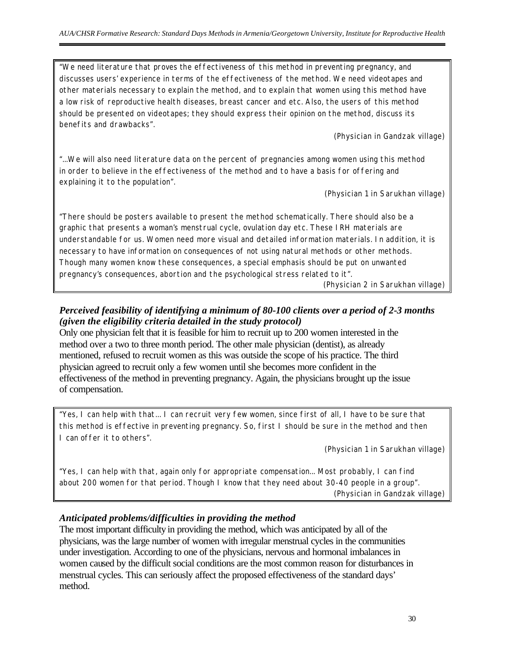"We need literature that proves the effectiveness of this method in preventing pregnancy, and discusses users' experience in terms of the effectiveness of the method. We need videotapes and other materials necessary to explain the method, and to explain that women using this method have a low risk of reproductive health diseases, breast cancer and etc. Also, the users of this method should be presented on videotapes; they should express their opinion on the method, discuss its benefits and drawbacks".

(Physician in Gandzak village)

"...We will also need literature data on the percent of pregnancies among women using this method in order to believe in the effectiveness of the method and to have a basis for offering and explaining it to the population".

(Physician 1 in Sarukhan village)

"There should be posters available to present the method schematically. There should also be a graphic that presents a woman's menstrual cycle, ovulation day etc. These IRH materials are understandable for us. Women need more visual and detailed information materials. In addition, it is necessary to have information on consequences of not using natural methods or other methods. Though many women know these consequences, a special emphasis should be put on unwanted pregnancy's consequences, abortion and the psychological stress related to it".

(Physician 2 in Sarukhan village)

# *Perceived feasibility of identifying a minimum of 80-100 clients over a period of 2-3 months (given the eligibility criteria detailed in the study protocol)*

Only one physician felt that it is feasible for him to recruit up to 200 women interested in the method over a two to three month period. The other male physician (dentist), as already mentioned, refused to recruit women as this was outside the scope of his practice. The third physician agreed to recruit only a few women until she becomes more confident in the effectiveness of the method in preventing pregnancy. Again, the physicians brought up the issue of compensation.

"Yes, I can help with that... I can recruit very few women, since first of all, I have to be sure that this method is effective in preventing pregnancy. So, first I should be sure in the method and then I can offer it to others".

(Physician 1 in Sarukhan village)

"Yes, I can help with that, again only for appropriate compensation... Most probably, I can find about 200 women for that period. Though I know that they need about 30-40 people in a group". (Physician in Gandzak village)

# *Anticipated problems/difficulties in providing the method*

The most important difficulty in providing the method, which was anticipated by all of the physicians, was the large number of women with irregular menstrual cycles in the communities under investigation. According to one of the physicians, nervous and hormonal imbalances in women caused by the difficult social conditions are the most common reason for disturbances in menstrual cycles. This can seriously affect the proposed effectiveness of the standard days' method.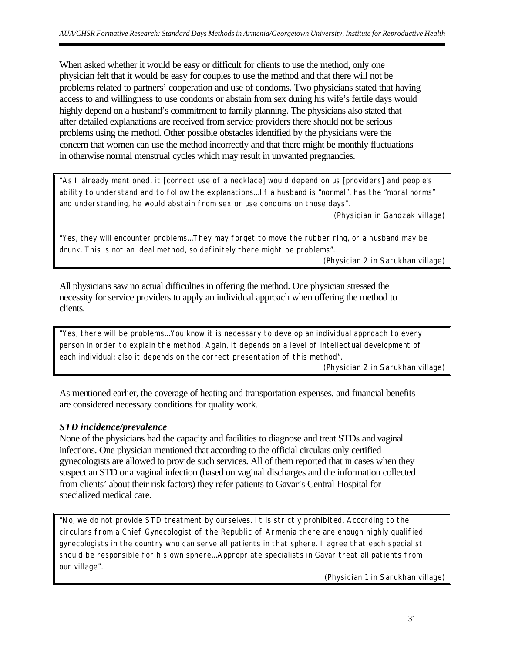When asked whether it would be easy or difficult for clients to use the method, only one physician felt that it would be easy for couples to use the method and that there will not be problems related to partners' cooperation and use of condoms. Two physicians stated that having access to and willingness to use condoms or abstain from sex during his wife's fertile days would highly depend on a husband's commitment to family planning. The physicians also stated that after detailed explanations are received from service providers there should not be serious problems using the method. Other possible obstacles identified by the physicians were the concern that women can use the method incorrectly and that there might be monthly fluctuations in otherwise normal menstrual cycles which may result in unwanted pregnancies.

"As I already mentioned, it [correct use of a necklace] would depend on us [providers] and people's ability to understand and to follow the explanations...If a husband is "normal", has the "moral norms" and understanding, he would abstain from sex or use condoms on those days".

(Physician in Gandzak village)

"Yes, they will encounter problems...They may forget to move the rubber ring, or a husband may be drunk. This is not an ideal method, so definitely there might be problems".

(Physician 2 in Sarukhan village)

All physicians saw no actual difficulties in offering the method. One physician stressed the necessity for service providers to apply an individual approach when offering the method to clients.

"Yes, there will be problems...You know it is necessary to develop an individual approach to every person in order to explain the method. Again, it depends on a level of intellectual development of each individual; also it depends on the correct presentation of this method".

(Physician 2 in Sarukhan village)

As mentioned earlier, the coverage of heating and transportation expenses, and financial benefits are considered necessary conditions for quality work.

#### *STD incidence/prevalence*

None of the physicians had the capacity and facilities to diagnose and treat STDs and vaginal infections. One physician mentioned that according to the official circulars only certified gynecologists are allowed to provide such services. All of them reported that in cases when they suspect an STD or a vaginal infection (based on vaginal discharges and the information collected from clients' about their risk factors) they refer patients to Gavar's Central Hospital for specialized medical care.

"No, we do not provide STD treatment by ourselves. It is strictly prohibited. According to the circulars from a Chief Gynecologist of the Republic of Armenia there are enough highly qualified gynecologists in the country who can serve all patients in that sphere. I agree that each specialist should be responsible for his own sphere...Appropriate specialists in Gavar treat all patients from our village".

(Physician 1 in Sarukhan village)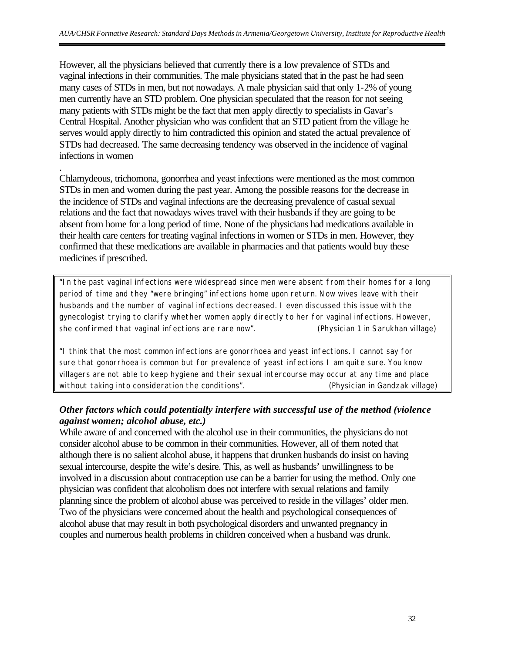However, all the physicians believed that currently there is a low prevalence of STDs and vaginal infections in their communities. The male physicians stated that in the past he had seen many cases of STDs in men, but not nowadays. A male physician said that only 1-2% of young men currently have an STD problem. One physician speculated that the reason for not seeing many patients with STDs might be the fact that men apply directly to specialists in Gavar's Central Hospital. Another physician who was confident that an STD patient from the village he serves would apply directly to him contradicted this opinion and stated the actual prevalence of STDs had decreased. The same decreasing tendency was observed in the incidence of vaginal infections in women

.

Chlamydeous, trichomona, gonorrhea and yeast infections were mentioned as the most common STDs in men and women during the past year. Among the possible reasons for the decrease in the incidence of STDs and vaginal infections are the decreasing prevalence of casual sexual relations and the fact that nowadays wives travel with their husbands if they are going to be absent from home for a long period of time. None of the physicians had medications available in their health care centers for treating vaginal infections in women or STDs in men. However, they confirmed that these medications are available in pharmacies and that patients would buy these medicines if prescribed.

"In the past vaginal infections were widespread since men were absent from their homes for a long period of time and they "were bringing" infections home upon return. Now wives leave with their husbands and the number of vaginal infections decreased. I even discussed this issue with the gynecologist trying to clarify whether women apply directly to her for vaginal infections. However, she confirmed that vaginal infections are rare now". (Physician 1 in Sarukhan village)

"I think that the most common infections are gonorrhoea and yeast infections. I cannot say for sure that gonorrhoea is common but for prevalence of yeast infections I am quite sure. You know villagers are not able to keep hygiene and their sexual intercourse may occur at any time and place without taking into consideration the conditions". (Physician in Gandzak village)

# *Other factors which could potentially interfere with successful use of the method (violence against women; alcohol abuse, etc.)*

While aware of and concerned with the alcohol use in their communities, the physicians do not consider alcohol abuse to be common in their communities. However, all of them noted that although there is no salient alcohol abuse, it happens that drunken husbands do insist on having sexual intercourse, despite the wife's desire. This, as well as husbands' unwillingness to be involved in a discussion about contraception use can be a barrier for using the method. Only one physician was confident that alcoholism does not interfere with sexual relations and family planning since the problem of alcohol abuse was perceived to reside in the villages' older men. Two of the physicians were concerned about the health and psychological consequences of alcohol abuse that may result in both psychological disorders and unwanted pregnancy in couples and numerous health problems in children conceived when a husband was drunk.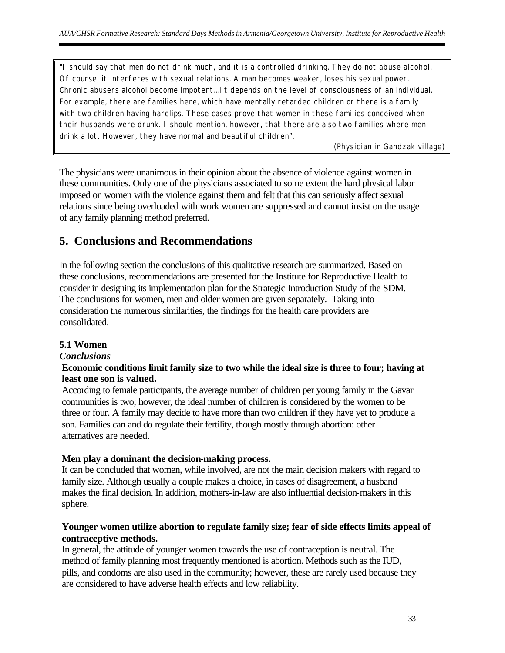"I should say that men do not drink much, and it is a controlled drinking. They do not abuse alcohol. Of course, it interferes with sexual relations. A man becomes weaker, loses his sexual power. Chronic abusers alcohol become impotent...It depends on the level of consciousness of an individual. For example, there are families here, which have mentally retarded children or there is a family with two children having harelips. These cases prove that women in these families conceived when their husbands were drunk. I should mention, however, that there are also two families where men drink a lot. However, they have normal and beautiful children".

(Physician in Gandzak village)

The physicians were unanimous in their opinion about the absence of violence against women in these communities. Only one of the physicians associated to some extent the hard physical labor imposed on women with the violence against them and felt that this can seriously affect sexual relations since being overloaded with work women are suppressed and cannot insist on the usage of any family planning method preferred.

# **5. Conclusions and Recommendations**

In the following section the conclusions of this qualitative research are summarized. Based on these conclusions, recommendations are presented for the Institute for Reproductive Health to consider in designing its implementation plan for the Strategic Introduction Study of the SDM. The conclusions for women, men and older women are given separately. Taking into consideration the numerous similarities, the findings for the health care providers are consolidated.

#### **5.1 Women**

#### *Conclusions*

#### **Economic conditions limit family size to two while the ideal size is three to four; having at least one son is valued.**

According to female participants, the average number of children per young family in the Gavar communities is two; however, the ideal number of children is considered by the women to be three or four. A family may decide to have more than two children if they have yet to produce a son. Families can and do regulate their fertility, though mostly through abortion: other alternatives are needed.

#### **Men play a dominant the decision-making process.**

It can be concluded that women, while involved, are not the main decision makers with regard to family size. Although usually a couple makes a choice, in cases of disagreement, a husband makes the final decision. In addition, mothers-in-law are also influential decision-makers in this sphere.

#### **Younger women utilize abortion to regulate family size; fear of side effects limits appeal of contraceptive methods.**

In general, the attitude of younger women towards the use of contraception is neutral. The method of family planning most frequently mentioned is abortion. Methods such as the IUD, pills, and condoms are also used in the community; however, these are rarely used because they are considered to have adverse health effects and low reliability.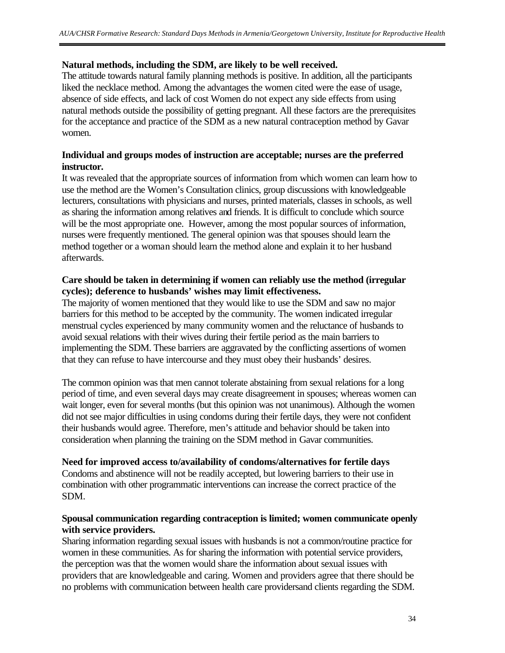#### **Natural methods, including the SDM, are likely to be well received.**

The attitude towards natural family planning methods is positive. In addition, all the participants liked the necklace method. Among the advantages the women cited were the ease of usage, absence of side effects, and lack of cost Women do not expect any side effects from using natural methods outside the possibility of getting pregnant. All these factors are the prerequisites for the acceptance and practice of the SDM as a new natural contraception method by Gavar women.

#### **Individual and groups modes of instruction are acceptable; nurses are the preferred instructor.**

It was revealed that the appropriate sources of information from which women can learn how to use the method are the Women's Consultation clinics, group discussions with knowledgeable lecturers, consultations with physicians and nurses, printed materials, classes in schools, as well as sharing the information among relatives and friends. It is difficult to conclude which source will be the most appropriate one. However, among the most popular sources of information, nurses were frequently mentioned. The general opinion was that spouses should learn the method together or a woman should learn the method alone and explain it to her husband afterwards.

#### **Care should be taken in determining if women can reliably use the method (irregular cycles); deference to husbands' wishes may limit effectiveness.**

The majority of women mentioned that they would like to use the SDM and saw no major barriers for this method to be accepted by the community. The women indicated irregular menstrual cycles experienced by many community women and the reluctance of husbands to avoid sexual relations with their wives during their fertile period as the main barriers to implementing the SDM. These barriers are aggravated by the conflicting assertions of women that they can refuse to have intercourse and they must obey their husbands' desires.

The common opinion was that men cannot tolerate abstaining from sexual relations for a long period of time, and even several days may create disagreement in spouses; whereas women can wait longer, even for several months (but this opinion was not unanimous). Although the women did not see major difficulties in using condoms during their fertile days, they were not confident their husbands would agree. Therefore, men's attitude and behavior should be taken into consideration when planning the training on the SDM method in Gavar communities.

#### **Need for improved access to/availability of condoms/alternatives for fertile days**

Condoms and abstinence will not be readily accepted, but lowering barriers to their use in combination with other programmatic interventions can increase the correct practice of the SDM.

#### **Spousal communication regarding contraception is limited; women communicate openly with service providers.**

Sharing information regarding sexual issues with husbands is not a common/routine practice for women in these communities. As for sharing the information with potential service providers, the perception was that the women would share the information about sexual issues with providers that are knowledgeable and caring. Women and providers agree that there should be no problems with communication between health care providersand clients regarding the SDM.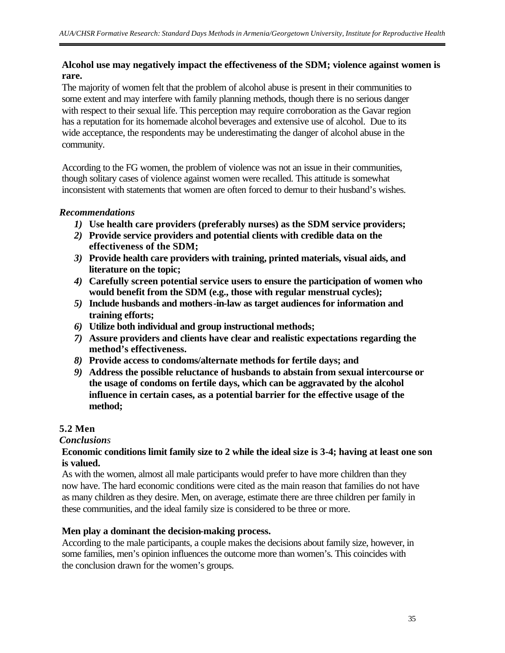#### **Alcohol use may negatively impact the effectiveness of the SDM; violence against women is rare.**

The majority of women felt that the problem of alcohol abuse is present in their communities to some extent and may interfere with family planning methods, though there is no serious danger with respect to their sexual life. This perception may require corroboration as the Gavar region has a reputation for its homemade alcohol beverages and extensive use of alcohol. Due to its wide acceptance, the respondents may be underestimating the danger of alcohol abuse in the community.

According to the FG women, the problem of violence was not an issue in their communities, though solitary cases of violence against women were recalled. This attitude is somewhat inconsistent with statements that women are often forced to demur to their husband's wishes.

# *Recommendations*

- *1)* **Use health care providers (preferably nurses) as the SDM service providers;**
- *2)* **Provide service providers and potential clients with credible data on the effectiveness of the SDM;**
- *3)* **Provide health care providers with training, printed materials, visual aids, and literature on the topic;**
- *4)* **Carefully screen potential service users to ensure the participation of women who would benefit from the SDM (e.g., those with regular menstrual cycles);**
- *5)* **Include husbands and mothers-in-law as target audiences for information and training efforts;**
- *6)* **Utilize both individual and group instructional methods;**
- *7)* **Assure providers and clients have clear and realistic expectations regarding the method's effectiveness.**
- *8)* **Provide access to condoms/alternate methods for fertile days; and**
- *9)* **Address the possible reluctance of husbands to abstain from sexual intercourse or the usage of condoms on fertile days, which can be aggravated by the alcohol influence in certain cases, as a potential barrier for the effective usage of the method;**

# **5.2 Men**

#### *Conclusions*

#### **Economic conditions limit family size to 2 while the ideal size is 3-4; having at least one son is valued.**

As with the women, almost all male participants would prefer to have more children than they now have. The hard economic conditions were cited as the main reason that families do not have as many children as they desire. Men, on average, estimate there are three children per family in these communities, and the ideal family size is considered to be three or more.

#### **Men play a dominant the decision-making process.**

According to the male participants, a couple makes the decisions about family size, however, in some families, men's opinion influences the outcome more than women's. This coincides with the conclusion drawn for the women's groups.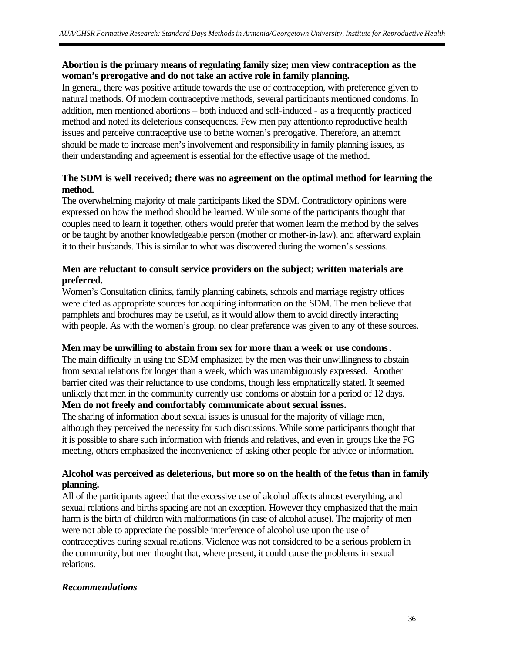#### **Abortion is the primary means of regulating family size; men view contraception as the woman's prerogative and do not take an active role in family planning.**

In general, there was positive attitude towards the use of contraception, with preference given to natural methods. Of modern contraceptive methods, several participants mentioned condoms. In addition, men mentioned abortions – both induced and self-induced - as a frequently practiced method and noted its deleterious consequences. Few men pay attentionto reproductive health issues and perceive contraceptive use to bethe women's prerogative. Therefore, an attempt should be made to increase men's involvement and responsibility in family planning issues, as their understanding and agreement is essential for the effective usage of the method.

### **The SDM is well received; there was no agreement on the optimal method for learning the method.**

The overwhelming majority of male participants liked the SDM. Contradictory opinions were expressed on how the method should be learned. While some of the participants thought that couples need to learn it together, others would prefer that women learn the method by the selves or be taught by another knowledgeable person (mother or mother-in-law), and afterward explain it to their husbands. This is similar to what was discovered during the women's sessions.

#### **Men are reluctant to consult service providers on the subject; written materials are preferred.**

Women's Consultation clinics, family planning cabinets, schools and marriage registry offices were cited as appropriate sources for acquiring information on the SDM. The men believe that pamphlets and brochures may be useful, as it would allow them to avoid directly interacting with people. As with the women's group, no clear preference was given to any of these sources.

#### **Men may be unwilling to abstain from sex for more than a week or use condoms**.

The main difficulty in using the SDM emphasized by the men was their unwillingness to abstain from sexual relations for longer than a week, which was unambiguously expressed. Another barrier cited was their reluctance to use condoms, though less emphatically stated. It seemed unlikely that men in the community currently use condoms or abstain for a period of 12 days. **Men do not freely and comfortably communicate about sexual issues.**

# The sharing of information about sexual issues is unusual for the majority of village men, although they perceived the necessity for such discussions. While some participants thought that

it is possible to share such information with friends and relatives, and even in groups like the FG meeting, others emphasized the inconvenience of asking other people for advice or information.

#### **Alcohol was perceived as deleterious, but more so on the health of the fetus than in family planning.**

All of the participants agreed that the excessive use of alcohol affects almost everything, and sexual relations and births spacing are not an exception. However they emphasized that the main harm is the birth of children with malformations (in case of alcohol abuse). The majority of men were not able to appreciate the possible interference of alcohol use upon the use of contraceptives during sexual relations. Violence was not considered to be a serious problem in the community, but men thought that, where present, it could cause the problems in sexual relations.

#### *Recommendations*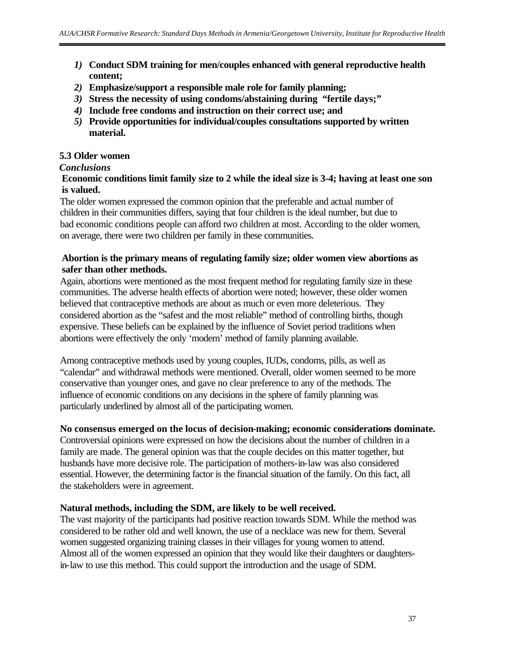- *1)* **Conduct SDM training for men/couples enhanced with general reproductive health content;**
- *2)* **Emphasize/support a responsible male role for family planning;**
- *3)* **Stress the necessity of using condoms/abstaining during "fertile days;"**
- *4)* **Include free condoms and instruction on their correct use; and**
- *5)* **Provide opportunities for individual/couples consultations supported by written material.**

#### **5.3 Older women**

#### *Conclusions*

#### **Economic conditions limit family size to 2 while the ideal size is 3-4; having at least one son is valued.**

The older women expressed the common opinion that the preferable and actual number of children in their communities differs, saying that four children is the ideal number, but due to bad economic conditions people can afford two children at most. According to the older women, on average, there were two children per family in these communities.

#### **Abortion is the primary means of regulating family size; older women view abortions as safer than other methods.**

Again, abortions were mentioned as the most frequent method for regulating family size in these communities. The adverse health effects of abortion were noted; however, these older women believed that contraceptive methods are about as much or even more deleterious. They considered abortion as the "safest and the most reliable" method of controlling births, though expensive. These beliefs can be explained by the influence of Soviet period traditions when abortions were effectively the only 'modern' method of family planning available.

Among contraceptive methods used by young couples, IUDs, condoms, pills, as well as "calendar" and withdrawal methods were mentioned. Overall, older women seemed to be more conservative than younger ones, and gave no clear preference to any of the methods. The influence of economic conditions on any decisions in the sphere of family planning was particularly underlined by almost all of the participating women.

#### **No consensus emerged on the locus of decision-making; economic considerations dominate.**

Controversial opinions were expressed on how the decisions about the number of children in a family are made. The general opinion was that the couple decides on this matter together, but husbands have more decisive role. The participation of mothers-in-law was also considered essential. However, the determining factor is the financial situation of the family. On this fact, all the stakeholders were in agreement.

#### **Natural methods, including the SDM, are likely to be well received.**

The vast majority of the participants had positive reaction towards SDM. While the method was considered to be rather old and well known, the use of a necklace was new for them. Several women suggested organizing training classes in their villages for young women to attend. Almost all of the women expressed an opinion that they would like their daughters or daughtersin-law to use this method. This could support the introduction and the usage of SDM.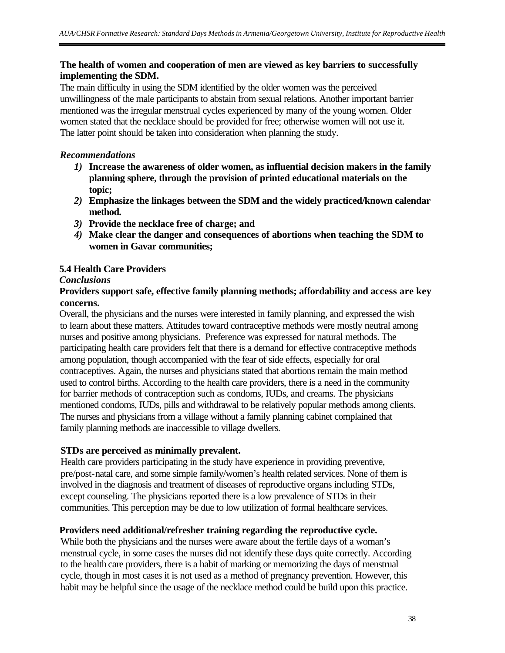#### **The health of women and cooperation of men are viewed as key barriers to successfully implementing the SDM.**

The main difficulty in using the SDM identified by the older women was the perceived unwillingness of the male participants to abstain from sexual relations. Another important barrier mentioned was the irregular menstrual cycles experienced by many of the young women. Older women stated that the necklace should be provided for free; otherwise women will not use it. The latter point should be taken into consideration when planning the study.

## *Recommendations*

- *1)* **Increase the awareness of older women, as influential decision makers in the family planning sphere, through the provision of printed educational materials on the topic;**
- *2)* **Emphasize the linkages between the SDM and the widely practiced/known calendar method.**
- *3)* **Provide the necklace free of charge; and**
- *4)* **Make clear the danger and consequences of abortions when teaching the SDM to women in Gavar communities;**

# **5.4 Health Care Providers**

#### *Conclusions*

#### **Providers support safe, effective family planning methods; affordability and access are key concerns.**

Overall, the physicians and the nurses were interested in family planning, and expressed the wish to learn about these matters. Attitudes toward contraceptive methods were mostly neutral among nurses and positive among physicians. Preference was expressed for natural methods. The participating health care providers felt that there is a demand for effective contraceptive methods among population, though accompanied with the fear of side effects, especially for oral contraceptives. Again, the nurses and physicians stated that abortions remain the main method used to control births. According to the health care providers, there is a need in the community for barrier methods of contraception such as condoms, IUDs, and creams. The physicians mentioned condoms, IUDs, pills and withdrawal to be relatively popular methods among clients. The nurses and physicians from a village without a family planning cabinet complained that family planning methods are inaccessible to village dwellers.

#### **STDs are perceived as minimally prevalent.**

Health care providers participating in the study have experience in providing preventive, pre/post-natal care, and some simple family/women's health related services. None of them is involved in the diagnosis and treatment of diseases of reproductive organs including STDs, except counseling. The physicians reported there is a low prevalence of STDs in their communities. This perception may be due to low utilization of formal healthcare services.

#### **Providers need additional/refresher training regarding the reproductive cycle.**

While both the physicians and the nurses were aware about the fertile days of a woman's menstrual cycle, in some cases the nurses did not identify these days quite correctly. According to the health care providers, there is a habit of marking or memorizing the days of menstrual cycle, though in most cases it is not used as a method of pregnancy prevention. However, this habit may be helpful since the usage of the necklace method could be build upon this practice.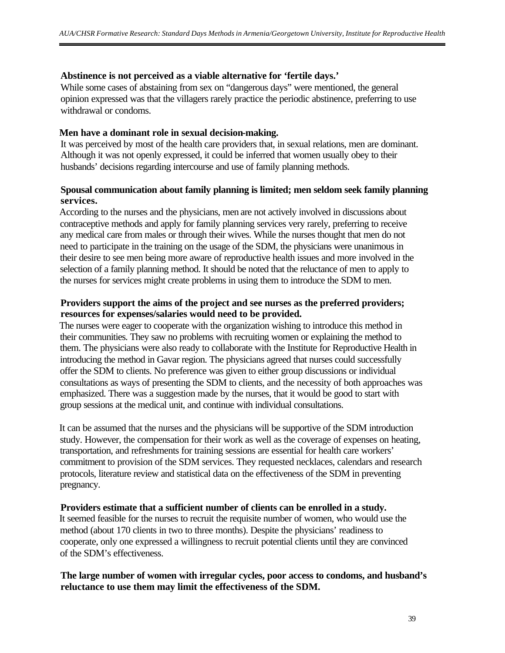#### **Abstinence is not perceived as a viable alternative for 'fertile days.'**

While some cases of abstaining from sex on "dangerous days" were mentioned, the general opinion expressed was that the villagers rarely practice the periodic abstinence, preferring to use withdrawal or condoms.

#### **Men have a dominant role in sexual decision-making.**

It was perceived by most of the health care providers that, in sexual relations, men are dominant. Although it was not openly expressed, it could be inferred that women usually obey to their husbands' decisions regarding intercourse and use of family planning methods.

#### **Spousal communication about family planning is limited; men seldom seek family planning services.**

According to the nurses and the physicians, men are not actively involved in discussions about contraceptive methods and apply for family planning services very rarely, preferring to receive any medical care from males or through their wives. While the nurses thought that men do not need to participate in the training on the usage of the SDM, the physicians were unanimous in their desire to see men being more aware of reproductive health issues and more involved in the selection of a family planning method. It should be noted that the reluctance of men to apply to the nurses for services might create problems in using them to introduce the SDM to men.

#### **Providers support the aims of the project and see nurses as the preferred providers; resources for expenses/salaries would need to be provided.**

The nurses were eager to cooperate with the organization wishing to introduce this method in their communities. They saw no problems with recruiting women or explaining the method to them. The physicians were also ready to collaborate with the Institute for Reproductive Health in introducing the method in Gavar region. The physicians agreed that nurses could successfully offer the SDM to clients. No preference was given to either group discussions or individual consultations as ways of presenting the SDM to clients, and the necessity of both approaches was emphasized. There was a suggestion made by the nurses, that it would be good to start with group sessions at the medical unit, and continue with individual consultations.

It can be assumed that the nurses and the physicians will be supportive of the SDM introduction study. However, the compensation for their work as well as the coverage of expenses on heating, transportation, and refreshments for training sessions are essential for health care workers' commitment to provision of the SDM services. They requested necklaces, calendars and research protocols, literature review and statistical data on the effectiveness of the SDM in preventing pregnancy.

#### **Providers estimate that a sufficient number of clients can be enrolled in a study.**

It seemed feasible for the nurses to recruit the requisite number of women, who would use the method (about 170 clients in two to three months). Despite the physicians' readiness to cooperate, only one expressed a willingness to recruit potential clients until they are convinced of the SDM's effectiveness.

#### **The large number of women with irregular cycles, poor access to condoms, and husband's reluctance to use them may limit the effectiveness of the SDM.**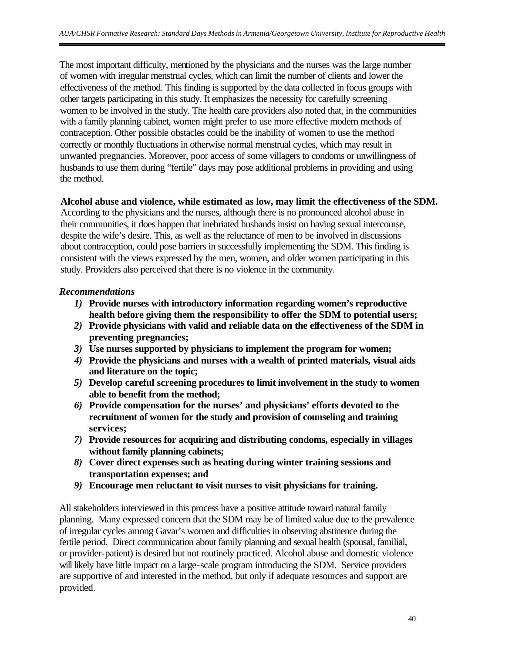The most important difficulty, mentioned by the physicians and the nurses was the large number of women with irregular menstrual cycles, which can limit the number of clients and lower the effectiveness of the method. This finding is supported by the data collected in focus groups with other targets participating in this study. It emphasizes the necessity for carefully screening women to be involved in the study. The health care providers also noted that, in the communities with a family planning cabinet, women might prefer to use more effective modern methods of contraception. Other possible obstacles could be the inability of women to use the method correctly or monthly fluctuations in otherwise normal menstrual cycles, which may result in unwanted pregnancies. Moreover, poor access of some villagers to condoms or unwillingness of husbands to use them during "fertile" days may pose additional problems in providing and using the method.

#### **Alcohol abuse and violence, while estimated as low, may limit the effectiveness of the SDM.**

According to the physicians and the nurses, although there is no pronounced alcohol abuse in their communities, it does happen that inebriated husbands insist on having sexual intercourse, despite the wife's desire. This, as well as the reluctance of men to be involved in discussions about contraception, could pose barriers in successfully implementing the SDM. This finding is consistent with the views expressed by the men, women, and older women participating in this study. Providers also perceived that there is no violence in the community.

#### *Recommendations*

- *1)* **Provide nurses with introductory information regarding women's reproductive health before giving them the responsibility to offer the SDM to potential users;**
- *2)* **Provide physicians with valid and reliable data on the effectiveness of the SDM in preventing pregnancies;**
- *3)* **Use nurses supported by physicians to implement the program for women;**
- *4)* **Provide the physicians and nurses with a wealth of printed materials, visual aids and literature on the topic;**
- *5)* **Develop careful screening procedures to limit involvement in the study to women able to benefit from the method;**
- *6)* **Provide compensation for the nurses' and physicians' efforts devoted to the recruitment of women for the study and provision of counseling and training services;**
- *7)* **Provide resources for acquiring and distributing condoms, especially in villages without family planning cabinets;**
- *8)* **Cover direct expenses such as heating during winter training sessions and transportation expenses; and**
- *9)* **Encourage men reluctant to visit nurses to visit physicians for training.**

All stakeholders interviewed in this process have a positive attitude toward natural family planning. Many expressed concern that the SDM may be of limited value due to the prevalence of irregular cycles among Gavar's women and difficulties in observing abstinence during the fertile period. Direct communication about family planning and sexual health (spousal, familial, or provider-patient) is desired but not routinely practiced. Alcohol abuse and domestic violence will likely have little impact on a large-scale program introducing the SDM. Service providers are supportive of and interested in the method, but only if adequate resources and support are provided.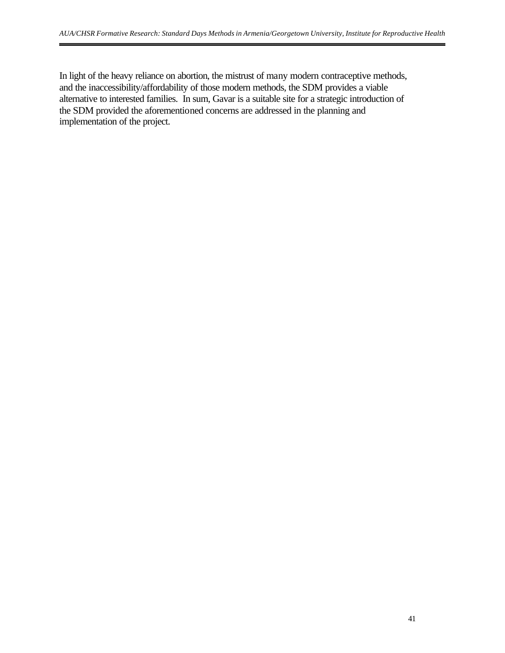In light of the heavy reliance on abortion, the mistrust of many modern contraceptive methods, and the inaccessibility/affordability of those modern methods, the SDM provides a viable alternative to interested families. In sum, Gavar is a suitable site for a strategic introduction of the SDM provided the aforementioned concerns are addressed in the planning and implementation of the project.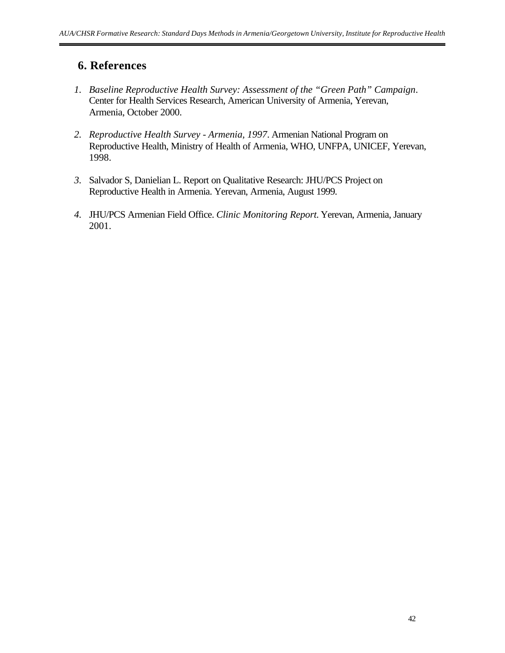# **6. References**

- *1. Baseline Reproductive Health Survey: Assessment of the "Green Path" Campaign*. Center for Health Services Research, American University of Armenia, Yerevan, Armenia, October 2000.
- *2. Reproductive Health Survey Armenia, 1997*. Armenian National Program on Reproductive Health, Ministry of Health of Armenia, WHO, UNFPA, UNICEF, Yerevan, 1998.
- *3.* Salvador S, Danielian L. Report on Qualitative Research: JHU/PCS Project on Reproductive Health in Armenia. Yerevan, Armenia, August 1999.
- *4.* JHU/PCS Armenian Field Office. *Clinic Monitoring Report.* Yerevan, Armenia, January 2001.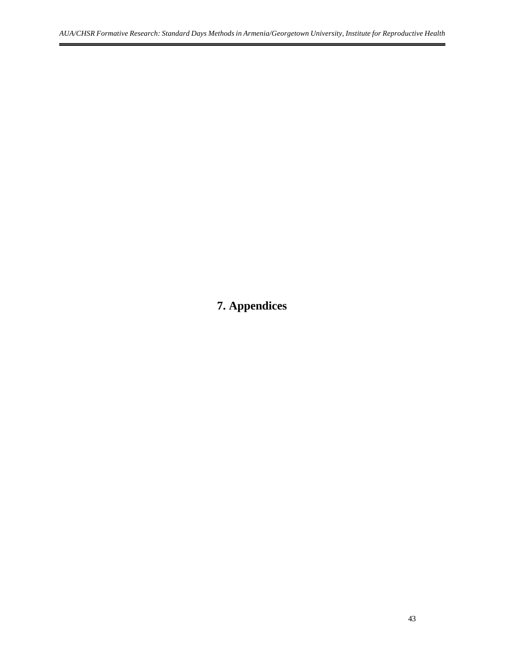# **7. Appendices**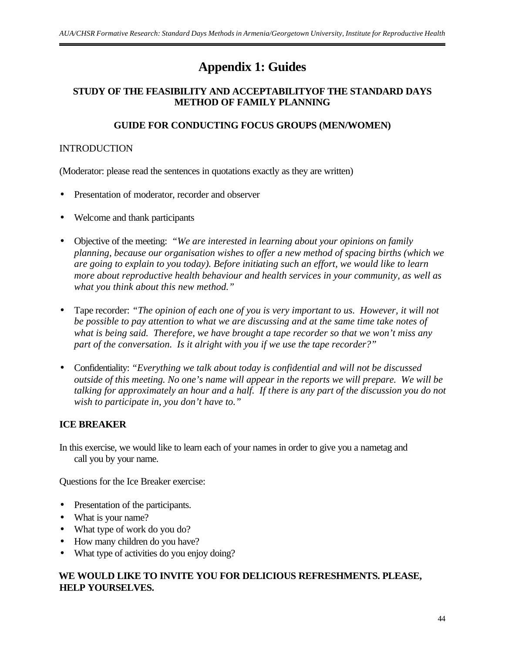# **Appendix 1: Guides**

# **STUDY OF THE FEASIBILITY AND ACCEPTABILITYOF THE STANDARD DAYS METHOD OF FAMILY PLANNING**

## **GUIDE FOR CONDUCTING FOCUS GROUPS (MEN/WOMEN)**

### INTRODUCTION

(Moderator: please read the sentences in quotations exactly as they are written)

- Presentation of moderator, recorder and observer
- Welcome and thank participants
- Objective of the meeting: *"We are interested in learning about your opinions on family planning, because our organisation wishes to offer a new method of spacing births (which we are going to explain to you today). Before initiating such an effort, we would like to learn more about reproductive health behaviour and health services in your community, as well as what you think about this new method."*
- Tape recorder: *"The opinion of each one of you is very important to us. However, it will not be possible to pay attention to what we are discussing and at the same time take notes of what is being said. Therefore, we have brought a tape recorder so that we won't miss any part of the conversation. Is it alright with you if we use the tape recorder?"*
- Confidentiality: *"Everything we talk about today is confidential and will not be discussed outside of this meeting. No one's name will appear in the reports we will prepare. We will be talking for approximately an hour and a half. If there is any part of the discussion you do not wish to participate in, you don't have to."*

# **ICE BREAKER**

In this exercise, we would like to learn each of your names in order to give you a nametag and call you by your name.

Questions for the Ice Breaker exercise:

- Presentation of the participants.
- What is your name?
- What type of work do you do?
- How many children do you have?
- What type of activities do you enjoy doing?

## **WE WOULD LIKE TO INVITE YOU FOR DELICIOUS REFRESHMENTS. PLEASE, HELP YOURSELVES.**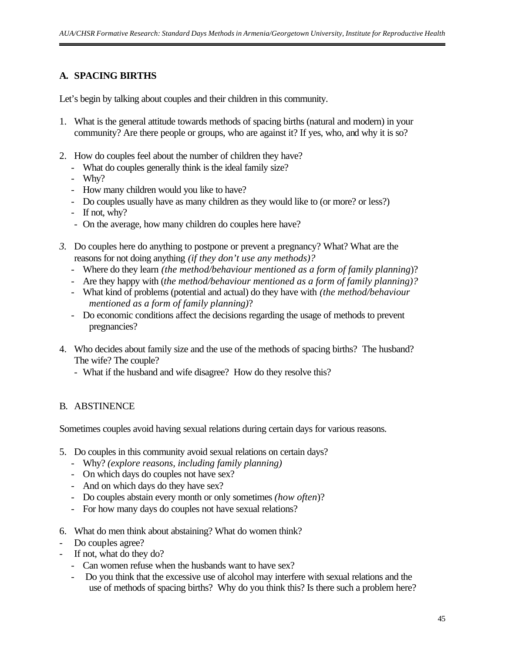# **A. SPACING BIRTHS**

Let's begin by talking about couples and their children in this community.

- 1. What is the general attitude towards methods of spacing births (natural and modern) in your community? Are there people or groups, who are against it? If yes, who, and why it is so?
- 2. How do couples feel about the number of children they have?
	- What do couples generally think is the ideal family size?
	- Why?
	- How many children would you like to have?
	- Do couples usually have as many children as they would like to (or more? or less?)
	- If not, why?
	- On the average, how many children do couples here have?
- *3.* Do couples here do anything to postpone or prevent a pregnancy? What? What are the reasons for not doing anything *(if they don't use any methods)?*
	- Where do they learn *(the method/behaviour mentioned as a form of family planning*)?
	- Are they happy with (*the method/behaviour mentioned as a form of family planning)?*
	- What kind of problems (potential and actual) do they have with *(the method/behaviour mentioned as a form of family planning)*?
	- Do economic conditions affect the decisions regarding the usage of methods to prevent pregnancies?
- 4. Who decides about family size and the use of the methods of spacing births? The husband? The wife? The couple?
	- What if the husband and wife disagree? How do they resolve this?

#### B. ABSTINENCE

Sometimes couples avoid having sexual relations during certain days for various reasons.

- 5. Do couples in this community avoid sexual relations on certain days?
	- Why? *(explore reasons, including family planning)*
	- On which days do couples not have sex?
	- And on which days do they have sex?
	- Do couples abstain every month or only sometimes *(how often*)?
	- For how many days do couples not have sexual relations?
- 6. What do men think about abstaining? What do women think?
- Do couples agree?
- If not, what do they do?
	- Can women refuse when the husbands want to have sex?
	- Do you think that the excessive use of alcohol may interfere with sexual relations and the use of methods of spacing births? Why do you think this? Is there such a problem here?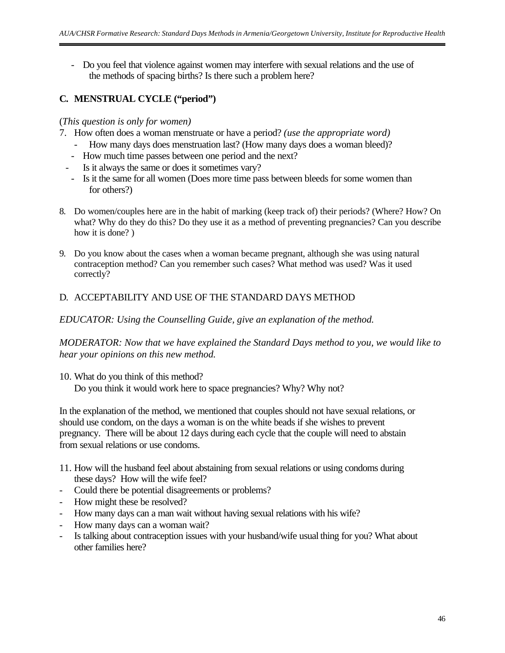- Do you feel that violence against women may interfere with sexual relations and the use of the methods of spacing births? Is there such a problem here?

# **C. MENSTRUAL CYCLE ("period")**

### (*This question is only for women)*

- 7. How often does a woman menstruate or have a period? *(use the appropriate word)*
	- How many days does menstruation last? (How many days does a woman bleed)?
	- How much time passes between one period and the next?
	- Is it always the same or does it sometimes vary?
	- Is it the same for all women (Does more time pass between bleeds for some women than for others?)
- 8. Do women/couples here are in the habit of marking (keep track of) their periods? (Where? How? On what? Why do they do this? Do they use it as a method of preventing pregnancies? Can you describe how it is done? )
- 9. Do you know about the cases when a woman became pregnant, although she was using natural contraception method? Can you remember such cases? What method was used? Was it used correctly?

## D. ACCEPTABILITY AND USE OF THE STANDARD DAYS METHOD

*EDUCATOR: Using the Counselling Guide, give an explanation of the method.* 

*MODERATOR: Now that we have explained the Standard Days method to you, we would like to hear your opinions on this new method.*

10. What do you think of this method?

Do you think it would work here to space pregnancies? Why? Why not?

In the explanation of the method, we mentioned that couples should not have sexual relations, or should use condom, on the days a woman is on the white beads if she wishes to prevent pregnancy. There will be about 12 days during each cycle that the couple will need to abstain from sexual relations or use condoms.

- 11. How will the husband feel about abstaining from sexual relations or using condoms during these days? How will the wife feel?
- Could there be potential disagreements or problems?
- How might these be resolved?
- How many days can a man wait without having sexual relations with his wife?
- How many days can a woman wait?
- Is talking about contraception issues with your husband/wife usual thing for you? What about other families here?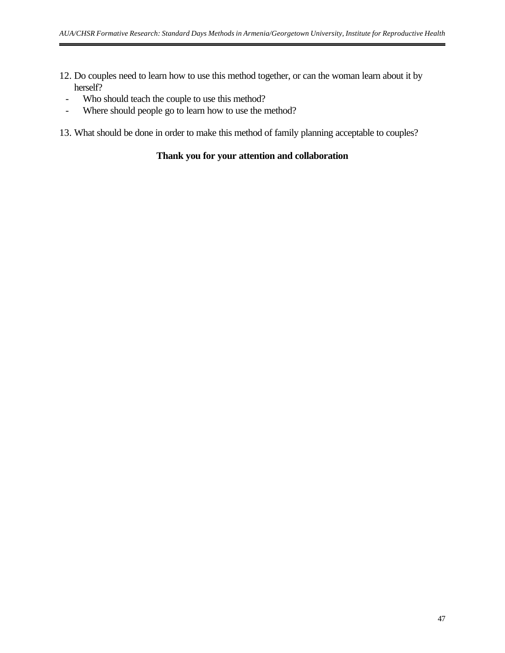- 12. Do couples need to learn how to use this method together, or can the woman learn about it by herself?
	- Who should teach the couple to use this method?
	- Where should people go to learn how to use the method?
- 13. What should be done in order to make this method of family planning acceptable to couples?

### **Thank you for your attention and collaboration**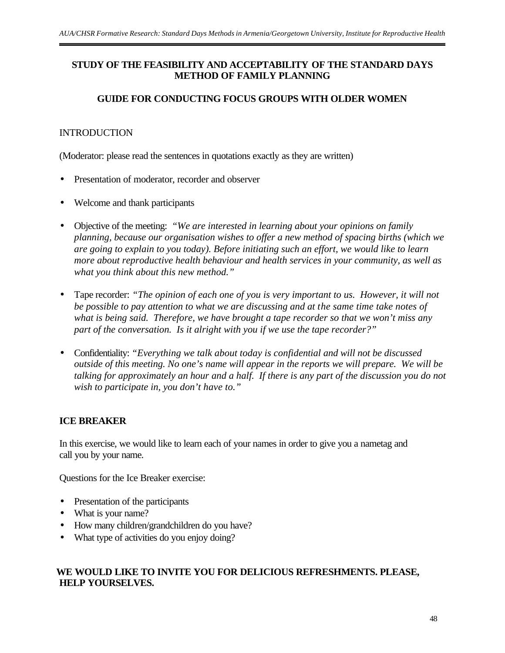## **STUDY OF THE FEASIBILITY AND ACCEPTABILITY OF THE STANDARD DAYS METHOD OF FAMILY PLANNING**

### **GUIDE FOR CONDUCTING FOCUS GROUPS WITH OLDER WOMEN**

#### INTRODUCTION

(Moderator: please read the sentences in quotations exactly as they are written)

- Presentation of moderator, recorder and observer
- Welcome and thank participants
- Objective of the meeting: *"We are interested in learning about your opinions on family planning, because our organisation wishes to offer a new method of spacing births (which we are going to explain to you today). Before initiating such an effort, we would like to learn more about reproductive health behaviour and health services in your community, as well as what you think about this new method."*
- Tape recorder: *"The opinion of each one of you is very important to us. However, it will not be possible to pay attention to what we are discussing and at the same time take notes of what is being said. Therefore, we have brought a tape recorder so that we won't miss any part of the conversation. Is it alright with you if we use the tape recorder?"*
- Confidentiality: *"Everything we talk about today is confidential and will not be discussed outside of this meeting. No one's name will appear in the reports we will prepare. We will be talking for approximately an hour and a half. If there is any part of the discussion you do not wish to participate in, you don't have to."*

#### **ICE BREAKER**

In this exercise, we would like to learn each of your names in order to give you a nametag and call you by your name.

Questions for the Ice Breaker exercise:

- Presentation of the participants
- What is your name?
- How many children/grandchildren do you have?
- What type of activities do you enjoy doing?

#### **WE WOULD LIKE TO INVITE YOU FOR DELICIOUS REFRESHMENTS. PLEASE, HELP YOURSELVES.**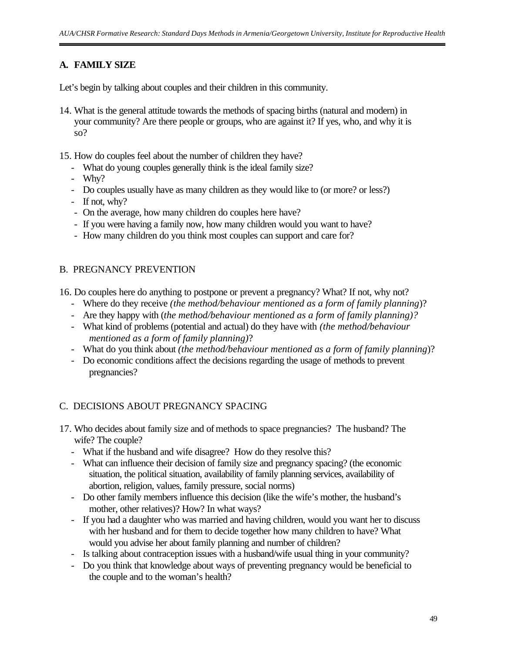# **A. FAMILY SIZE**

Let's begin by talking about couples and their children in this community.

- 14. What is the general attitude towards the methods of spacing births (natural and modern) in your community? Are there people or groups, who are against it? If yes, who, and why it is so?
- 15. How do couples feel about the number of children they have?
	- What do young couples generally think is the ideal family size?
	- Why?
	- Do couples usually have as many children as they would like to (or more? or less?)
	- If not, why?
	- On the average, how many children do couples here have?
	- If you were having a family now, how many children would you want to have?
	- How many children do you think most couples can support and care for?

#### B. PREGNANCY PREVENTION

- 16. Do couples here do anything to postpone or prevent a pregnancy? What? If not, why not?
	- Where do they receive *(the method/behaviour mentioned as a form of family planning*)?
	- Are they happy with (*the method/behaviour mentioned as a form of family planning)?*
	- What kind of problems (potential and actual) do they have with *(the method/behaviour mentioned as a form of family planning)*?
	- What do you think about *(the method/behaviour mentioned as a form of family planning*)?
	- Do economic conditions affect the decisions regarding the usage of methods to prevent pregnancies?

#### C. DECISIONS ABOUT PREGNANCY SPACING

- 17. Who decides about family size and of methods to space pregnancies? The husband? The wife? The couple?
	- What if the husband and wife disagree? How do they resolve this?
	- What can influence their decision of family size and pregnancy spacing? (the economic situation, the political situation, availability of family planning services, availability of abortion, religion, values, family pressure, social norms)
	- Do other family members influence this decision (like the wife's mother, the husband's mother, other relatives)? How? In what ways?
	- If you had a daughter who was married and having children, would you want her to discuss with her husband and for them to decide together how many children to have? What would you advise her about family planning and number of children?
	- Is talking about contraception issues with a husband/wife usual thing in your community?
	- Do you think that knowledge about ways of preventing pregnancy would be beneficial to the couple and to the woman's health?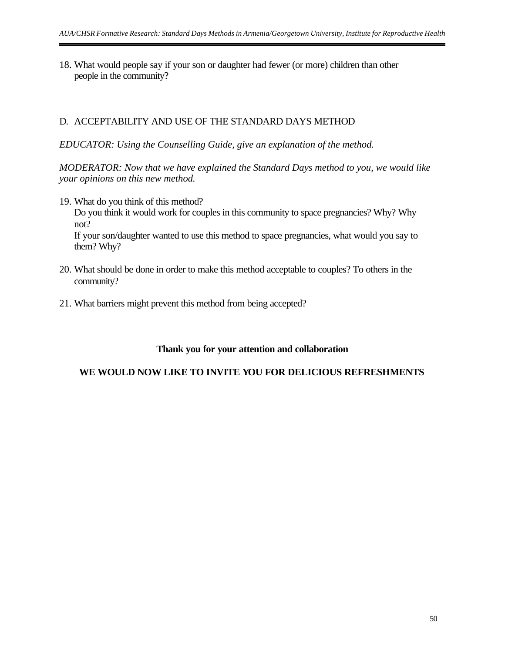18. What would people say if your son or daughter had fewer (or more) children than other people in the community?

#### D. ACCEPTABILITY AND USE OF THE STANDARD DAYS METHOD

*EDUCATOR: Using the Counselling Guide, give an explanation of the method.* 

*MODERATOR: Now that we have explained the Standard Days method to you, we would like your opinions on this new method.*

19. What do you think of this method?

Do you think it would work for couples in this community to space pregnancies? Why? Why not?

If your son/daughter wanted to use this method to space pregnancies, what would you say to them? Why?

- 20. What should be done in order to make this method acceptable to couples? To others in the community?
- 21. What barriers might prevent this method from being accepted?

#### **Thank you for your attention and collaboration**

#### **WE WOULD NOW LIKE TO INVITE YOU FOR DELICIOUS REFRESHMENTS**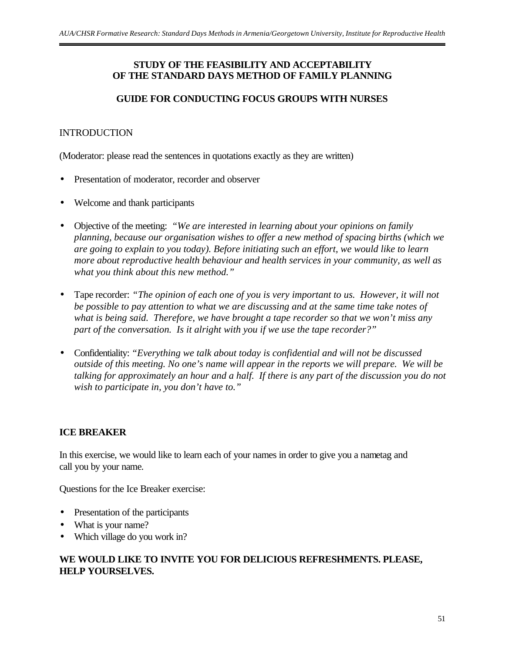#### **STUDY OF THE FEASIBILITY AND ACCEPTABILITY OF THE STANDARD DAYS METHOD OF FAMILY PLANNING**

### **GUIDE FOR CONDUCTING FOCUS GROUPS WITH NURSES**

#### INTRODUCTION

(Moderator: please read the sentences in quotations exactly as they are written)

- Presentation of moderator, recorder and observer
- Welcome and thank participants
- Objective of the meeting: *"We are interested in learning about your opinions on family planning, because our organisation wishes to offer a new method of spacing births (which we are going to explain to you today). Before initiating such an effort, we would like to learn more about reproductive health behaviour and health services in your community, as well as what you think about this new method."*
- Tape recorder: *"The opinion of each one of you is very important to us. However, it will not be possible to pay attention to what we are discussing and at the same time take notes of what is being said. Therefore, we have brought a tape recorder so that we won't miss any part of the conversation. Is it alright with you if we use the tape recorder?"*
- Confidentiality: *"Everything we talk about today is confidential and will not be discussed outside of this meeting. No one's name will appear in the reports we will prepare. We will be talking for approximately an hour and a half. If there is any part of the discussion you do not wish to participate in, you don't have to."*

#### **ICE BREAKER**

In this exercise, we would like to learn each of your names in order to give you a nametag and call you by your name.

Questions for the Ice Breaker exercise:

- Presentation of the participants
- What is your name?
- Which village do you work in?

#### **WE WOULD LIKE TO INVITE YOU FOR DELICIOUS REFRESHMENTS. PLEASE, HELP YOURSELVES.**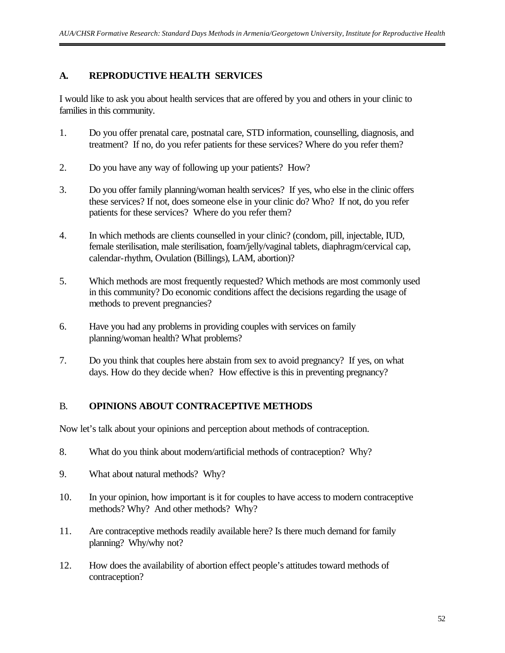#### **A. REPRODUCTIVE HEALTH SERVICES**

I would like to ask you about health services that are offered by you and others in your clinic to families in this community.

- 1. Do you offer prenatal care, postnatal care, STD information, counselling, diagnosis, and treatment? If no, do you refer patients for these services? Where do you refer them?
- 2. Do you have any way of following up your patients? How?
- 3. Do you offer family planning/woman health services? If yes, who else in the clinic offers these services? If not, does someone else in your clinic do? Who? If not, do you refer patients for these services? Where do you refer them?
- 4. In which methods are clients counselled in your clinic? (condom, pill, injectable, IUD, female sterilisation, male sterilisation, foam/jelly/vaginal tablets, diaphragm/cervical cap, calendar-rhythm, Ovulation (Billings), LAM, abortion)?
- 5. Which methods are most frequently requested? Which methods are most commonly used in this community? Do economic conditions affect the decisions regarding the usage of methods to prevent pregnancies?
- 6. Have you had any problems in providing couples with services on family planning/woman health? What problems?
- 7. Do you think that couples here abstain from sex to avoid pregnancy? If yes, on what days. How do they decide when? How effective is this in preventing pregnancy?

# B. **OPINIONS ABOUT CONTRACEPTIVE METHODS**

Now let's talk about your opinions and perception about methods of contraception.

- 8. What do you think about modern/artificial methods of contraception? Why?
- 9. What about natural methods? Why?
- 10. In your opinion, how important is it for couples to have access to modern contraceptive methods? Why? And other methods? Why?
- 11. Are contraceptive methods readily available here? Is there much demand for family planning? Why/why not?
- 12. How does the availability of abortion effect people's attitudes toward methods of contraception?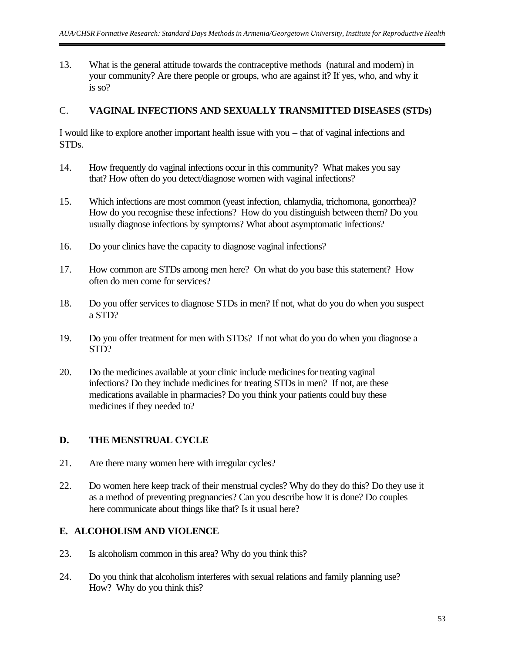13. What is the general attitude towards the contraceptive methods (natural and modern) in your community? Are there people or groups, who are against it? If yes, who, and why it is so?

#### C. **VAGINAL INFECTIONS AND SEXUALLY TRANSMITTED DISEASES (STDs)**

I would like to explore another important health issue with you – that of vaginal infections and STDs.

- 14. How frequently do vaginal infections occur in this community? What makes you say that? How often do you detect/diagnose women with vaginal infections?
- 15. Which infections are most common (yeast infection, chlamydia, trichomona, gonorrhea)? How do you recognise these infections? How do you distinguish between them? Do you usually diagnose infections by symptoms? What about asymptomatic infections?
- 16. Do your clinics have the capacity to diagnose vaginal infections?
- 17. How common are STDs among men here? On what do you base this statement? How often do men come for services?
- 18. Do you offer services to diagnose STDs in men? If not, what do you do when you suspect a STD?
- 19. Do you offer treatment for men with STDs? If not what do you do when you diagnose a STD?
- 20. Do the medicines available at your clinic include medicines for treating vaginal infections? Do they include medicines for treating STDs in men? If not, are these medications available in pharmacies? Do you think your patients could buy these medicines if they needed to?

#### **D. THE MENSTRUAL CYCLE**

- 21. Are there many women here with irregular cycles?
- 22. Do women here keep track of their menstrual cycles? Why do they do this? Do they use it as a method of preventing pregnancies? Can you describe how it is done? Do couples here communicate about things like that? Is it usual here?

#### **E. ALCOHOLISM AND VIOLENCE**

- 23. Is alcoholism common in this area? Why do you think this?
- 24. Do you think that alcoholism interferes with sexual relations and family planning use? How? Why do you think this?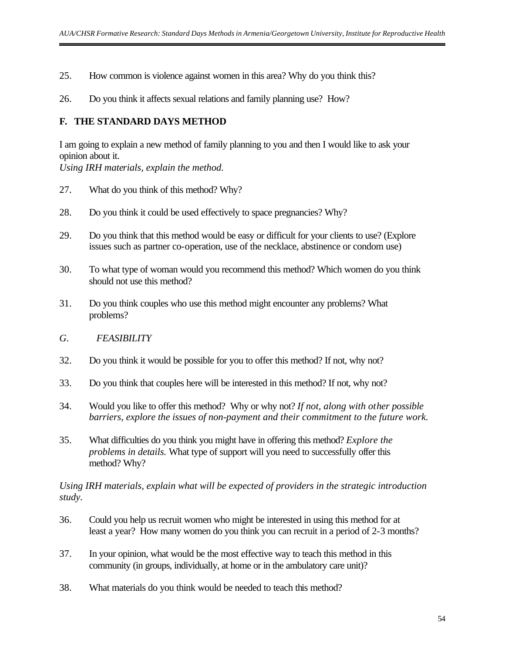- 25. How common is violence against women in this area? Why do you think this?
- 26. Do you think it affects sexual relations and family planning use? How?

#### **F. THE STANDARD DAYS METHOD**

I am going to explain a new method of family planning to you and then I would like to ask your opinion about it.

*Using IRH materials, explain the method.*

- 27. What do you think of this method? Why?
- 28. Do you think it could be used effectively to space pregnancies? Why?
- 29. Do you think that this method would be easy or difficult for your clients to use? (Explore issues such as partner co-operation, use of the necklace, abstinence or condom use)
- 30. To what type of woman would you recommend this method? Which women do you think should not use this method?
- 31. Do you think couples who use this method might encounter any problems? What problems?
- *G. FEASIBILITY*
- 32. Do you think it would be possible for you to offer this method? If not, why not?
- 33. Do you think that couples here will be interested in this method? If not, why not?
- 34. Would you like to offer this method? Why or why not? *If not, along with other possible barriers, explore the issues of non-payment and their commitment to the future work.*
- 35. What difficulties do you think you might have in offering this method? *Explore the problems in details.* What type of support will you need to successfully offer this method? Why?

#### *Using IRH materials, explain what will be expected of providers in the strategic introduction study.*

- 36. Could you help us recruit women who might be interested in using this method for at least a year? How many women do you think you can recruit in a period of 2-3 months?
- 37. In your opinion, what would be the most effective way to teach this method in this community (in groups, individually, at home or in the ambulatory care unit)?
- 38. What materials do you think would be needed to teach this method?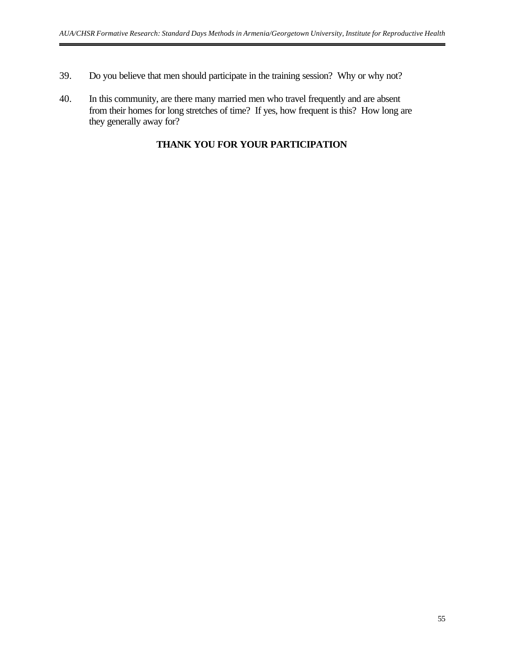- 39. Do you believe that men should participate in the training session? Why or why not?
- 40. In this community, are there many married men who travel frequently and are absent from their homes for long stretches of time? If yes, how frequent is this? How long are they generally away for?

# **THANK YOU FOR YOUR PARTICIPATION**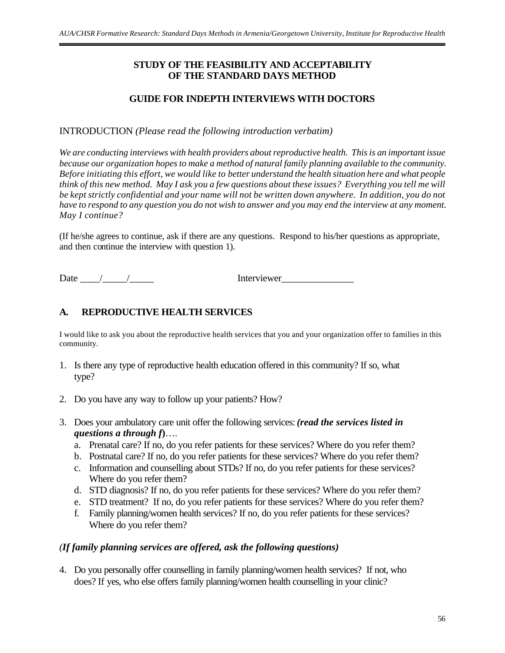#### **STUDY OF THE FEASIBILITY AND ACCEPTABILITY OF THE STANDARD DAYS METHOD**

### **GUIDE FOR INDEPTH INTERVIEWS WITH DOCTORS**

INTRODUCTION *(Please read the following introduction verbatim)*

*We are conducting interviews with health providers about reproductive health. This is an important issue because our organization hopes to make a method of natural family planning available to the community. Before initiating this effort, we would like to better understand the health situation here and what people think of this new method. May I ask you a few questions about these issues? Everything you tell me will be kept strictly confidential and your name will not be written down anywhere. In addition, you do not have to respond to any question you do not wish to answer and you may end the interview at any moment. May I continue?*

(If he/she agrees to continue, ask if there are any questions. Respond to his/her questions as appropriate, and then continue the interview with question 1).

Date  $\frac{1}{\sqrt{2\pi}}$  /  $\frac{1}{\sqrt{2\pi}}$  Interviewer

# **A. REPRODUCTIVE HEALTH SERVICES**

I would like to ask you about the reproductive health services that you and your organization offer to families in this community.

- 1. Is there any type of reproductive health education offered in this community? If so, what type?
- 2. Do you have any way to follow up your patients? How?
- 3. Does your ambulatory care unit offer the following services:*(read the services listed in questions a through f***)**….
	- a. Prenatal care? If no, do you refer patients for these services? Where do you refer them?
	- b. Postnatal care? If no, do you refer patients for these services? Where do you refer them?
	- c. Information and counselling about STDs? If no, do you refer patients for these services? Where do you refer them?
	- d. STD diagnosis? If no, do you refer patients for these services? Where do you refer them?
	- e. STD treatment? If no, do you refer patients for these services? Where do you refer them?
	- f. Family planning/women health services? If no, do you refer patients for these services? Where do you refer them?

#### *(If family planning services are offered, ask the following questions)*

4. Do you personally offer counselling in family planning/women health services? If not, who does? If yes, who else offers family planning/women health counselling in your clinic?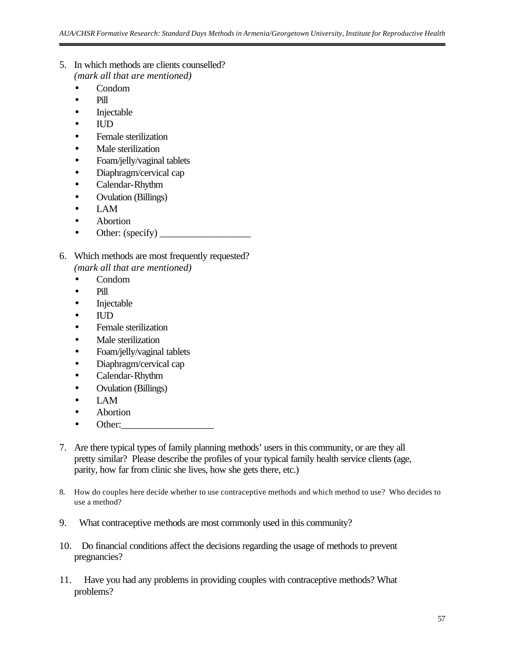- 5. In which methods are clients counselled? *(mark all that are mentioned)*
	- Condom
	- Pill
	- Injectable
	- $\bullet$  IUD
	- Female sterilization
	- Male sterilization
	- Foam/jelly/vaginal tablets
	- Diaphragm/cervical cap
	- Calendar-Rhythm
	- Ovulation (Billings)
	- LAM
	- Abortion
	- Other: (specify)  $\qquad \qquad$
- 6. Which methods are most frequently requested? *(mark all that are mentioned)*
	- Condom
	- Pill
	- Injectable
	- IUD
	- Female sterilization
	- Male sterilization
	- Foam/jelly/vaginal tablets
	- Diaphragm/cervical cap
	- Calendar-Rhythm
	- Ovulation (Billings)
	- LAM
	- Abortion
	- Other:
- 7. Are there typical types of family planning methods' users in this community, or are they all pretty similar? Please describe the profiles of your typical family health service clients (age, parity, how far from clinic she lives, how she gets there, etc.)
- 8. How do couples here decide whether to use contraceptive methods and which method to use? Who decides to use a method?
- 9. What contraceptive methods are most commonly used in this community?
- 10. Do financial conditions affect the decisions regarding the usage of methods to prevent pregnancies?
- 11. Have you had any problems in providing couples with contraceptive methods? What problems?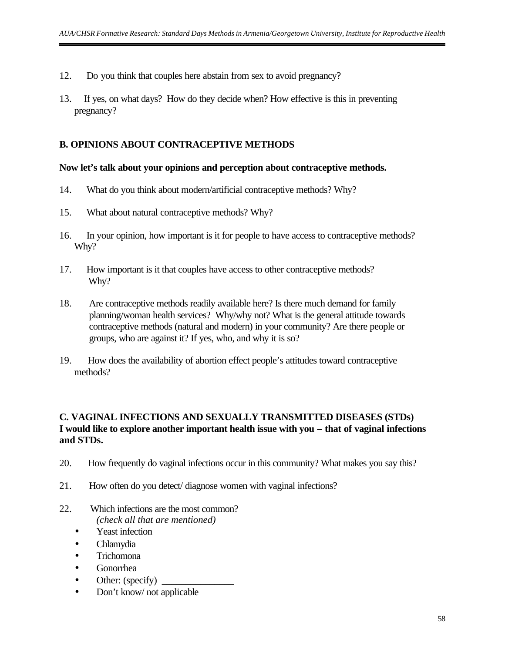- 12. Do you think that couples here abstain from sex to avoid pregnancy?
- 13. If yes, on what days? How do they decide when? How effective is this in preventing pregnancy?

#### **B. OPINIONS ABOUT CONTRACEPTIVE METHODS**

#### **Now let's talk about your opinions and perception about contraceptive methods.**

- 14. What do you think about modern/artificial contraceptive methods? Why?
- 15. What about natural contraceptive methods? Why?
- 16. In your opinion, how important is it for people to have access to contraceptive methods? Why?
- 17. How important is it that couples have access to other contraceptive methods? Why?
- 18. Are contraceptive methods readily available here? Is there much demand for family planning/woman health services? Why/why not? What is the general attitude towards contraceptive methods (natural and modern) in your community? Are there people or groups, who are against it? If yes, who, and why it is so?
- 19. How does the availability of abortion effect people's attitudes toward contraceptive methods?

#### **C. VAGINAL INFECTIONS AND SEXUALLY TRANSMITTED DISEASES (STDs) I would like to explore another important health issue with you – that of vaginal infections and STDs.**

- 20. How frequently do vaginal infections occur in this community? What makes you say this?
- 21. How often do you detect/ diagnose women with vaginal infections?
- 22. Which infections are the most common? *(check all that are mentioned)*
	- Yeast infection
	- Chlamydia
	- Trichomona
	- Gonorrhea
	- Other: (specify)  $\overline{\phantom{a}}$
	- Don't know/ not applicable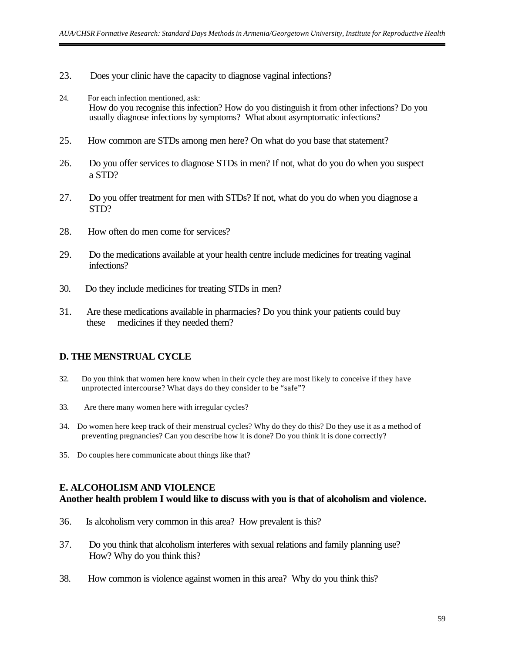- 23. Does your clinic have the capacity to diagnose vaginal infections?
- 24. For each infection mentioned, ask: How do you recognise this infection? How do you distinguish it from other infections? Do you usually diagnose infections by symptoms? What about asymptomatic infections?
- 25. How common are STDs among men here? On what do you base that statement?
- 26. Do you offer services to diagnose STDs in men? If not, what do you do when you suspect a STD?
- 27. Do you offer treatment for men with STDs? If not, what do you do when you diagnose a STD?
- 28. How often do men come for services?
- 29. Do the medications available at your health centre include medicines for treating vaginal infections?
- 30. Do they include medicines for treating STDs in men?
- 31. Are these medications available in pharmacies? Do you think your patients could buy these medicines if they needed them?

#### **D. THE MENSTRUAL CYCLE**

- 32. Do you think that women here know when in their cycle they are most likely to conceive if they have unprotected intercourse? What days do they consider to be "safe"?
- 33. Are there many women here with irregular cycles?
- 34. Do women here keep track of their menstrual cycles? Why do they do this? Do they use it as a method of preventing pregnancies? Can you describe how it is done? Do you think it is done correctly?
- 35. Do couples here communicate about things like that?

#### **E. ALCOHOLISM AND VIOLENCE**

#### **Another health problem I would like to discuss with you is that of alcoholism and violence.**

- 36. Is alcoholism very common in this area? How prevalent is this?
- 37. Do you think that alcoholism interferes with sexual relations and family planning use? How? Why do you think this?
- 38. How common is violence against women in this area? Why do you think this?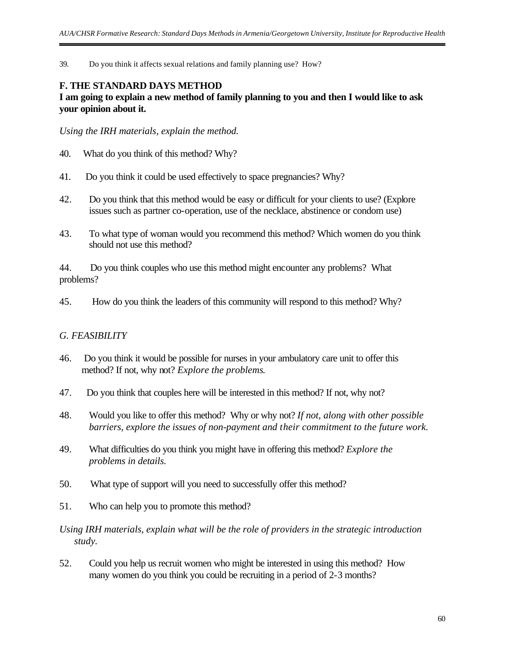39. Do you think it affects sexual relations and family planning use? How?

#### **F. THE STANDARD DAYS METHOD**

#### **I am going to explain a new method of family planning to you and then I would like to ask your opinion about it.**

#### *Using the IRH materials, explain the method.*

- 40. What do you think of this method? Why?
- 41. Do you think it could be used effectively to space pregnancies? Why?
- 42. Do you think that this method would be easy or difficult for your clients to use? (Explore issues such as partner co-operation, use of the necklace, abstinence or condom use)
- 43. To what type of woman would you recommend this method? Which women do you think should not use this method?

44. Do you think couples who use this method might encounter any problems? What problems?

45. How do you think the leaders of this community will respond to this method? Why?

#### *G. FEASIBILITY*

- 46. Do you think it would be possible for nurses in your ambulatory care unit to offer this method? If not, why not? *Explore the problems*.
- 47. Do you think that couples here will be interested in this method? If not, why not?
- 48. Would you like to offer this method? Why or why not? *If not, along with other possible barriers, explore the issues of non-payment and their commitment to the future work.*
- 49. What difficulties do you think you might have in offering this method? *Explore the problems in details.*
- 50. What type of support will you need to successfully offer this method?
- 51. Who can help you to promote this method?

#### *Using IRH materials, explain what will be the role of providers in the strategic introduction study.*

52. Could you help us recruit women who might be interested in using this method? How many women do you think you could be recruiting in a period of 2-3 months?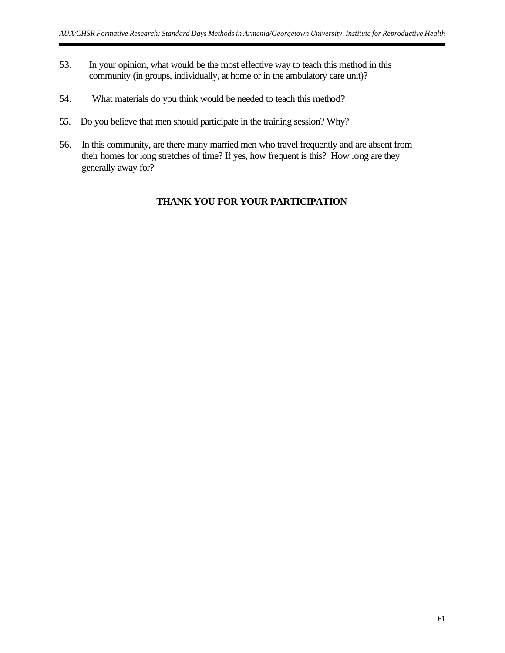- 53. In your opinion, what would be the most effective way to teach this method in this community (in groups, individually, at home or in the ambulatory care unit)?
- 54. What materials do you think would be needed to teach this method?
- 55. Do you believe that men should participate in the training session? Why?
- 56. In this community, are there many married men who travel frequently and are absent from their homes for long stretches of time? If yes, how frequent is this? How long are they generally away for?

#### **THANK YOU FOR YOUR PARTICIPATION**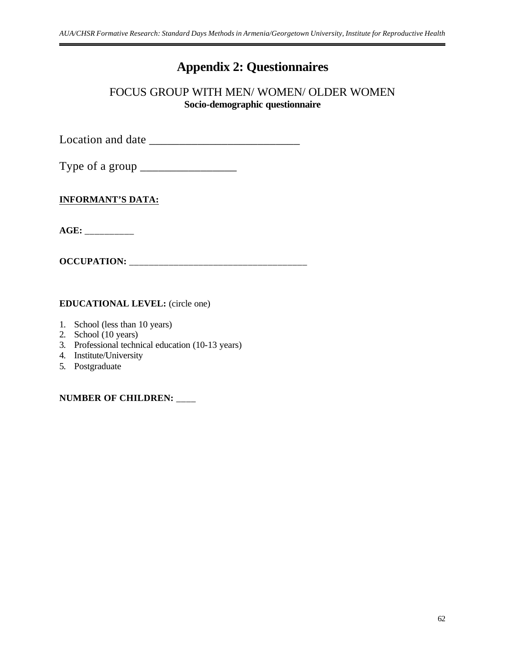# **Appendix 2: Questionnaires**

# FOCUS GROUP WITH MEN/ WOMEN/ OLDER WOMEN **Socio-demographic questionnaire**

Location and date \_\_\_\_\_\_\_\_\_\_\_\_\_\_\_\_\_\_\_\_\_\_\_\_\_

Type of a group \_\_\_\_\_\_\_\_\_\_\_\_\_\_\_\_

**INFORMANT'S DATA:**

**AGE:** \_\_\_\_\_\_\_\_\_\_

**OCCUPATION:** \_\_\_\_\_\_\_\_\_\_\_\_\_\_\_\_\_\_\_\_\_\_\_\_\_\_\_\_\_\_\_\_\_\_\_\_

**EDUCATIONAL LEVEL:** (circle one)

- 1. School (less than 10 years)
- 2. School (10 years)
- 3. Professional technical education (10-13 years)
- 4. Institute/University
- 5. Postgraduate

**NUMBER OF CHILDREN:** \_\_\_\_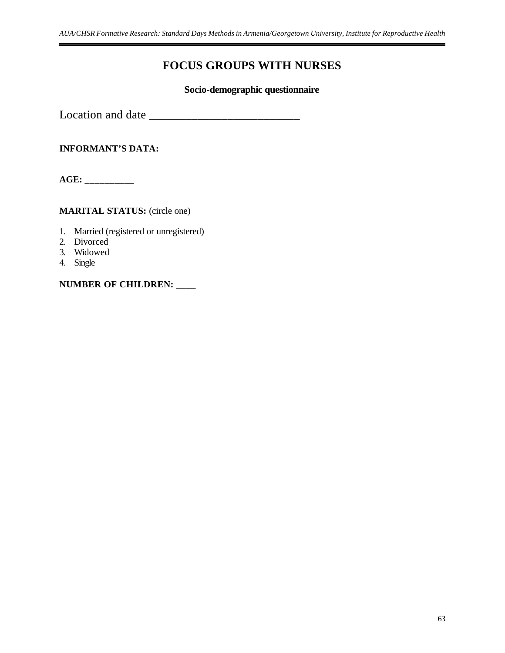# **FOCUS GROUPS WITH NURSES**

#### **Socio-demographic questionnaire**

Location and date \_\_\_\_\_\_\_\_\_\_\_\_\_\_\_\_\_\_\_\_\_\_\_\_\_

## **INFORMANT'S DATA:**

**AGE:** \_\_\_\_\_\_\_\_\_\_

#### **MARITAL STATUS:** (circle one)

- 1. Married (registered or unregistered)
- 2. Divorced
- 3. Widowed
- 4. Single

#### **NUMBER OF CHILDREN:** \_\_\_\_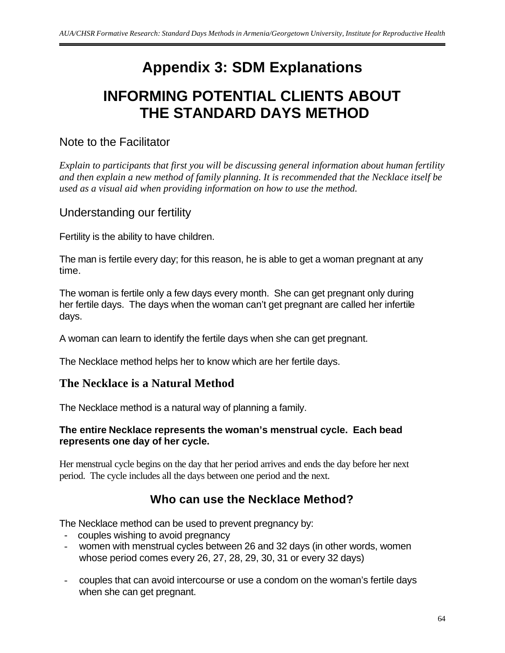# **Appendix 3: SDM Explanations**

# **INFORMING POTENTIAL CLIENTS ABOUT THE STANDARD DAYS METHOD**

# Note to the Facilitator

*Explain to participants that first you will be discussing general information about human fertility and then explain a new method of family planning. It is recommended that the Necklace itself be used as a visual aid when providing information on how to use the method.*

# Understanding our fertility

Fertility is the ability to have children.

The man is fertile every day; for this reason, he is able to get a woman pregnant at any time.

The woman is fertile only a few days every month. She can get pregnant only during her fertile days. The days when the woman can't get pregnant are called her infertile days.

A woman can learn to identify the fertile days when she can get pregnant.

The Necklace method helps her to know which are her fertile days.

# **The Necklace is a Natural Method**

The Necklace method is a natural way of planning a family.

## **The entire Necklace represents the woman's menstrual cycle. Each bead represents one day of her cycle.**

Her menstrual cycle begins on the day that her period arrives and ends the day before her next period. The cycle includes all the days between one period and the next.

# **Who can use the Necklace Method?**

The Necklace method can be used to prevent pregnancy by:

- couples wishing to avoid pregnancy
- women with menstrual cycles between 26 and 32 days (in other words, women whose period comes every 26, 27, 28, 29, 30, 31 or every 32 days)
- couples that can avoid intercourse or use a condom on the woman's fertile days when she can get pregnant.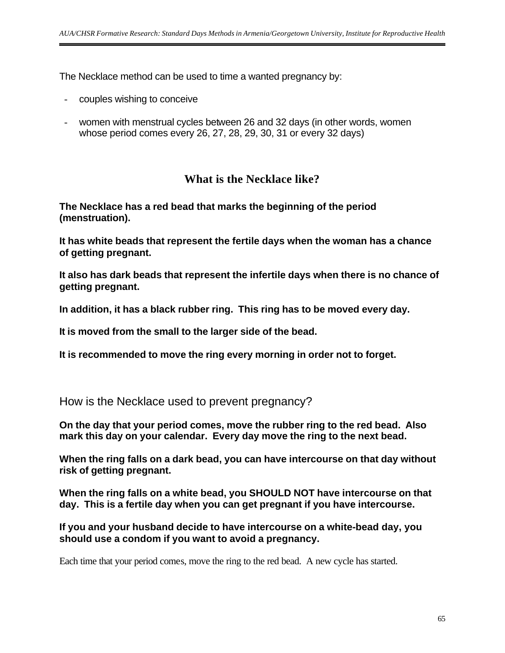The Necklace method can be used to time a wanted pregnancy by:

- couples wishing to conceive
- women with menstrual cycles between 26 and 32 days (in other words, women whose period comes every 26, 27, 28, 29, 30, 31 or every 32 days)

# **What is the Necklace like?**

**The Necklace has a red bead that marks the beginning of the period (menstruation).**

**It has white beads that represent the fertile days when the woman has a chance of getting pregnant.**

**It also has dark beads that represent the infertile days when there is no chance of getting pregnant.** 

**In addition, it has a black rubber ring. This ring has to be moved every day.** 

**It is moved from the small to the larger side of the bead.** 

**It is recommended to move the ring every morning in order not to forget.**

How is the Necklace used to prevent pregnancy?

**On the day that your period comes, move the rubber ring to the red bead. Also mark this day on your calendar. Every day move the ring to the next bead.**

**When the ring falls on a dark bead, you can have intercourse on that day without risk of getting pregnant.**

**When the ring falls on a white bead, you SHOULD NOT have intercourse on that day. This is a fertile day when you can get pregnant if you have intercourse.** 

**If you and your husband decide to have intercourse on a white-bead day, you should use a condom if you want to avoid a pregnancy.**

Each time that your period comes, move the ring to the red bead. A new cycle has started.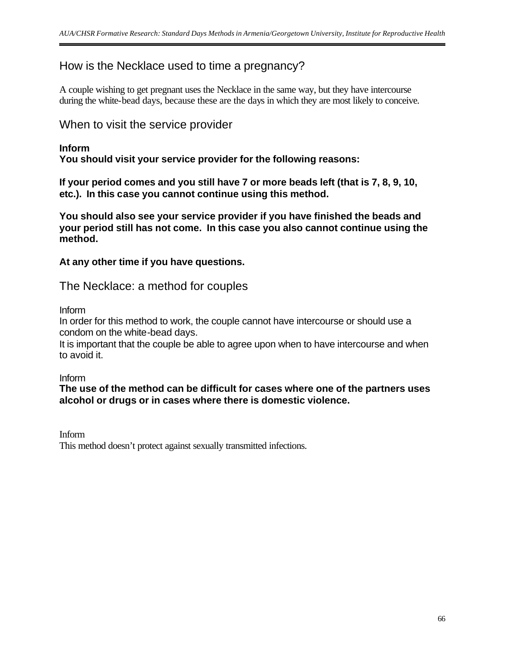# How is the Necklace used to time a pregnancy?

A couple wishing to get pregnant uses the Necklace in the same way, but they have intercourse during the white-bead days, because these are the days in which they are most likely to conceive.

# When to visit the service provider

## **Inform**

**You should visit your service provider for the following reasons:**

**If your period comes and you still have 7 or more beads left (that is 7, 8, 9, 10, etc.). In this case you cannot continue using this method.** 

**You should also see your service provider if you have finished the beads and your period still has not come. In this case you also cannot continue using the method.**

# **At any other time if you have questions.**

The Necklace: a method for couples

Inform

In order for this method to work, the couple cannot have intercourse or should use a condom on the white-bead days.

It is important that the couple be able to agree upon when to have intercourse and when to avoid it.

Inform

**The use of the method can be difficult for cases where one of the partners uses alcohol or drugs or in cases where there is domestic violence.**

Inform

This method doesn't protect against sexually transmitted infections.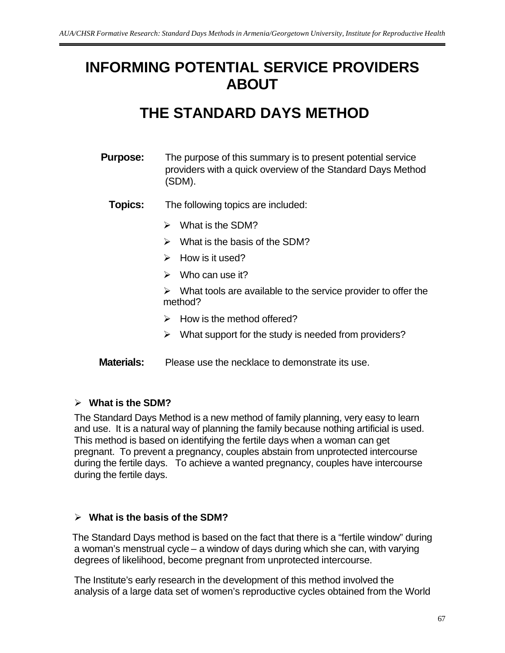# **INFORMING POTENTIAL SERVICE PROVIDERS ABOUT**

# **THE STANDARD DAYS METHOD**

- **Purpose:** The purpose of this summary is to present potential service providers with a quick overview of the Standard Days Method (SDM).
	- **Topics:** The following topics are included:
		- $\triangleright$  What is the SDM?
		- $\triangleright$  What is the basis of the SDM?
		- $\triangleright$  How is it used?
		- $\triangleright$  Who can use it?
		- $\triangleright$  What tools are available to the service provider to offer the method?
		- $\triangleright$  How is the method offered?
		- $\triangleright$  What support for the study is needed from providers?
- **Materials:** Please use the necklace to demonstrate its use.

#### ÿ **What is the SDM?**

The Standard Days Method is a new method of family planning, very easy to learn and use. It is a natural way of planning the family because nothing artificial is used. This method is based on identifying the fertile days when a woman can get pregnant. To prevent a pregnancy, couples abstain from unprotected intercourse during the fertile days. To achieve a wanted pregnancy, couples have intercourse during the fertile days.

#### ÿ **What is the basis of the SDM?**

The Standard Days method is based on the fact that there is a "fertile window" during a woman's menstrual cycle – a window of days during which she can, with varying degrees of likelihood, become pregnant from unprotected intercourse.

The Institute's early research in the development of this method involved the analysis of a large data set of women's reproductive cycles obtained from the World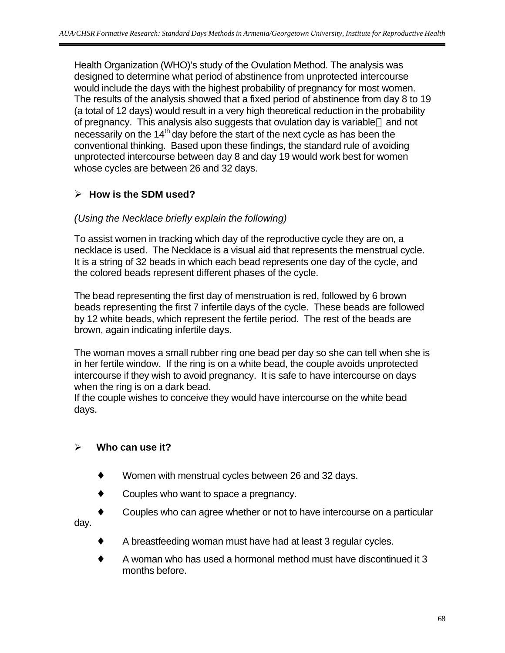Health Organization (WHO)'s study of the Ovulation Method. The analysis was designed to determine what period of abstinence from unprotected intercourse would include the days with the highest probability of pregnancy for most women. The results of the analysis showed that a fixed period of abstinence from day 8 to 19 (a total of 12 days) would result in a very high theoretical reduction in the probability of pregnancy. This analysis also suggests that ovulation day is variable—and not necessarily on the  $14<sup>th</sup>$  day before the start of the next cycle as has been the conventional thinking. Based upon these findings, the standard rule of avoiding unprotected intercourse between day 8 and day 19 would work best for women whose cycles are between 26 and 32 days.

# ÿ **How is the SDM used?**

# *(Using the Necklace briefly explain the following)*

To assist women in tracking which day of the reproductive cycle they are on, a necklace is used. The Necklace is a visual aid that represents the menstrual cycle. It is a string of 32 beads in which each bead represents one day of the cycle, and the colored beads represent different phases of the cycle.

The bead representing the first day of menstruation is red, followed by 6 brown beads representing the first 7 infertile days of the cycle. These beads are followed by 12 white beads, which represent the fertile period. The rest of the beads are brown, again indicating infertile days.

The woman moves a small rubber ring one bead per day so she can tell when she is in her fertile window. If the ring is on a white bead, the couple avoids unprotected intercourse if they wish to avoid pregnancy. It is safe to have intercourse on days when the ring is on a dark bead.

If the couple wishes to conceive they would have intercourse on the white bead days.

# ÿ **Who can use it?**

- Women with menstrual cycles between 26 and 32 days.
- Couples who want to space a pregnancy.
- Couples who can agree whether or not to have intercourse on a particular

day.

- A breastfeeding woman must have had at least 3 regular cycles.
- A woman who has used a hormonal method must have discontinued it 3 months before.